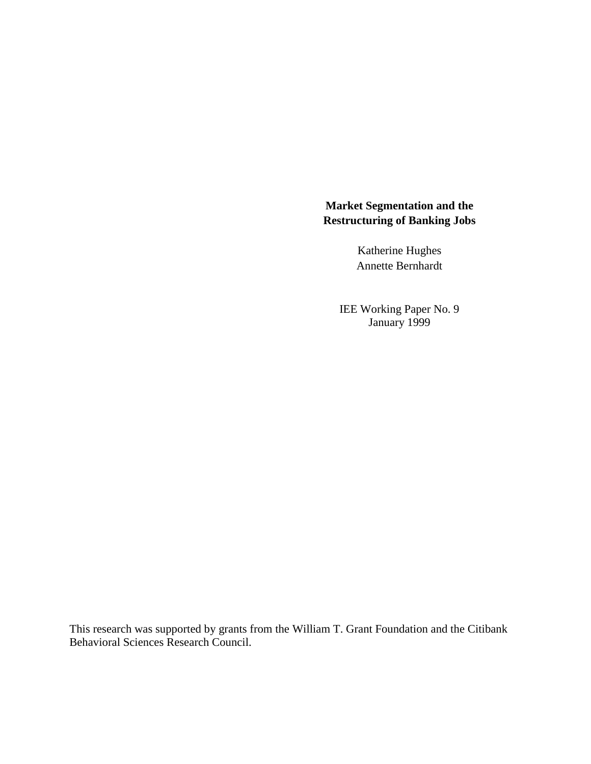# **Market Segmentation and the Restructuring of Banking Jobs**

Katherine Hughes Annette Bernhardt

IEE Working Paper No. 9 January 1999

This research was supported by grants from the William T. Grant Foundation and the Citibank Behavioral Sciences Research Council.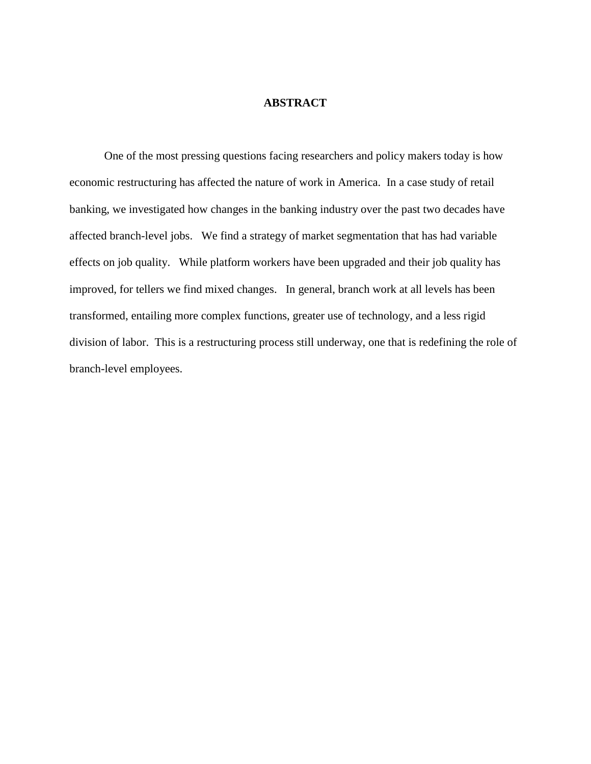## **ABSTRACT**

One of the most pressing questions facing researchers and policy makers today is how economic restructuring has affected the nature of work in America. In a case study of retail banking, we investigated how changes in the banking industry over the past two decades have affected branch-level jobs. We find a strategy of market segmentation that has had variable effects on job quality. While platform workers have been upgraded and their job quality has improved, for tellers we find mixed changes. In general, branch work at all levels has been transformed, entailing more complex functions, greater use of technology, and a less rigid division of labor. This is a restructuring process still underway, one that is redefining the role of branch-level employees.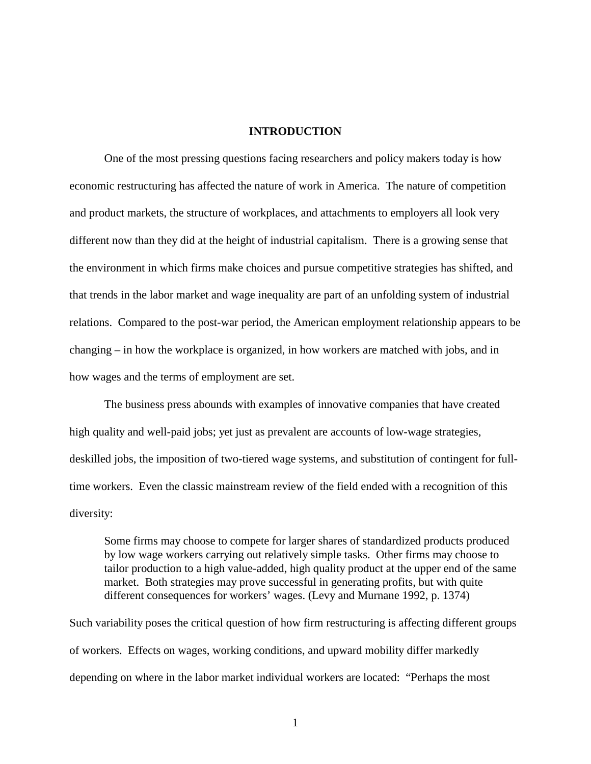#### **INTRODUCTION**

One of the most pressing questions facing researchers and policy makers today is how economic restructuring has affected the nature of work in America. The nature of competition and product markets, the structure of workplaces, and attachments to employers all look very different now than they did at the height of industrial capitalism. There is a growing sense that the environment in which firms make choices and pursue competitive strategies has shifted, and that trends in the labor market and wage inequality are part of an unfolding system of industrial relations. Compared to the post-war period, the American employment relationship appears to be changing – in how the workplace is organized, in how workers are matched with jobs, and in how wages and the terms of employment are set.

The business press abounds with examples of innovative companies that have created high quality and well-paid jobs; yet just as prevalent are accounts of low-wage strategies, deskilled jobs, the imposition of two-tiered wage systems, and substitution of contingent for fulltime workers. Even the classic mainstream review of the field ended with a recognition of this diversity:

Some firms may choose to compete for larger shares of standardized products produced by low wage workers carrying out relatively simple tasks. Other firms may choose to tailor production to a high value-added, high quality product at the upper end of the same market. Both strategies may prove successful in generating profits, but with quite different consequences for workers' wages. (Levy and Murnane 1992, p. 1374)

Such variability poses the critical question of how firm restructuring is affecting different groups of workers. Effects on wages, working conditions, and upward mobility differ markedly depending on where in the labor market individual workers are located: "Perhaps the most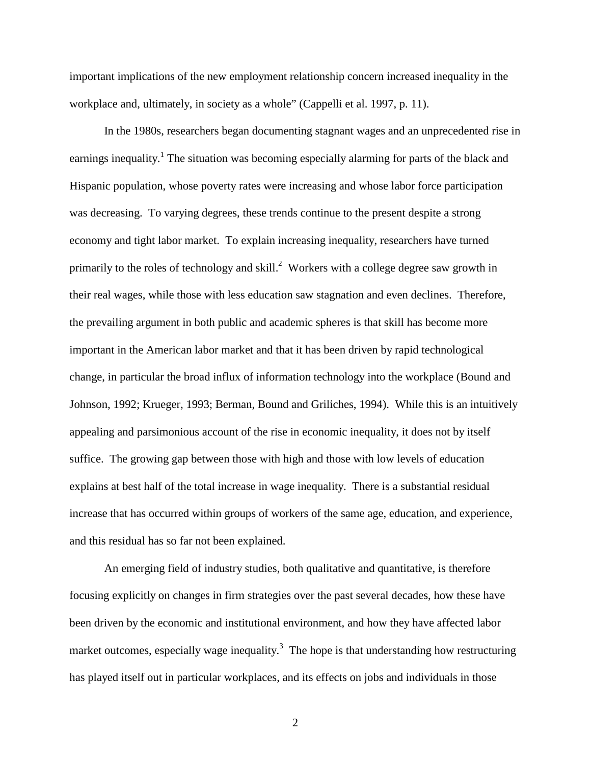important implications of the new employment relationship concern increased inequality in the workplace and, ultimately, in society as a whole" (Cappelli et al. 1997, p. 11).

In the 1980s, researchers began documenting stagnant wages and an unprecedented rise in earnings inequality.<sup>1</sup> The situation was becoming especially alarming for parts of the black and Hispanic population, whose poverty rates were increasing and whose labor force participation was decreasing. To varying degrees, these trends continue to the present despite a strong economy and tight labor market. To explain increasing inequality, researchers have turned primarily to the roles of technology and skill.<sup>2</sup> Workers with a college degree saw growth in their real wages, while those with less education saw stagnation and even declines. Therefore, the prevailing argument in both public and academic spheres is that skill has become more important in the American labor market and that it has been driven by rapid technological change, in particular the broad influx of information technology into the workplace (Bound and Johnson, 1992; Krueger, 1993; Berman, Bound and Griliches, 1994). While this is an intuitively appealing and parsimonious account of the rise in economic inequality, it does not by itself suffice. The growing gap between those with high and those with low levels of education explains at best half of the total increase in wage inequality. There is a substantial residual increase that has occurred within groups of workers of the same age, education, and experience, and this residual has so far not been explained.

An emerging field of industry studies, both qualitative and quantitative, is therefore focusing explicitly on changes in firm strategies over the past several decades, how these have been driven by the economic and institutional environment, and how they have affected labor market outcomes, especially wage inequality.<sup>3</sup> The hope is that understanding how restructuring has played itself out in particular workplaces, and its effects on jobs and individuals in those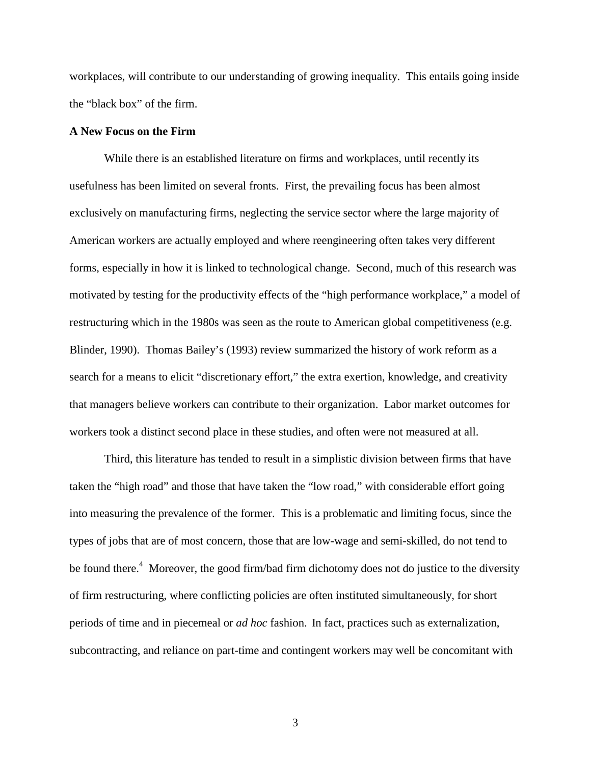workplaces, will contribute to our understanding of growing inequality. This entails going inside the "black box" of the firm.

#### **A New Focus on the Firm**

While there is an established literature on firms and workplaces, until recently its usefulness has been limited on several fronts. First, the prevailing focus has been almost exclusively on manufacturing firms, neglecting the service sector where the large majority of American workers are actually employed and where reengineering often takes very different forms, especially in how it is linked to technological change. Second, much of this research was motivated by testing for the productivity effects of the "high performance workplace," a model of restructuring which in the 1980s was seen as the route to American global competitiveness (e.g. Blinder, 1990). Thomas Bailey's (1993) review summarized the history of work reform as a search for a means to elicit "discretionary effort," the extra exertion, knowledge, and creativity that managers believe workers can contribute to their organization. Labor market outcomes for workers took a distinct second place in these studies, and often were not measured at all.

Third, this literature has tended to result in a simplistic division between firms that have taken the "high road" and those that have taken the "low road," with considerable effort going into measuring the prevalence of the former. This is a problematic and limiting focus, since the types of jobs that are of most concern, those that are low-wage and semi-skilled, do not tend to be found there.<sup>4</sup> Moreover, the good firm/bad firm dichotomy does not do justice to the diversity of firm restructuring, where conflicting policies are often instituted simultaneously, for short periods of time and in piecemeal or *ad hoc* fashion. In fact, practices such as externalization, subcontracting, and reliance on part-time and contingent workers may well be concomitant with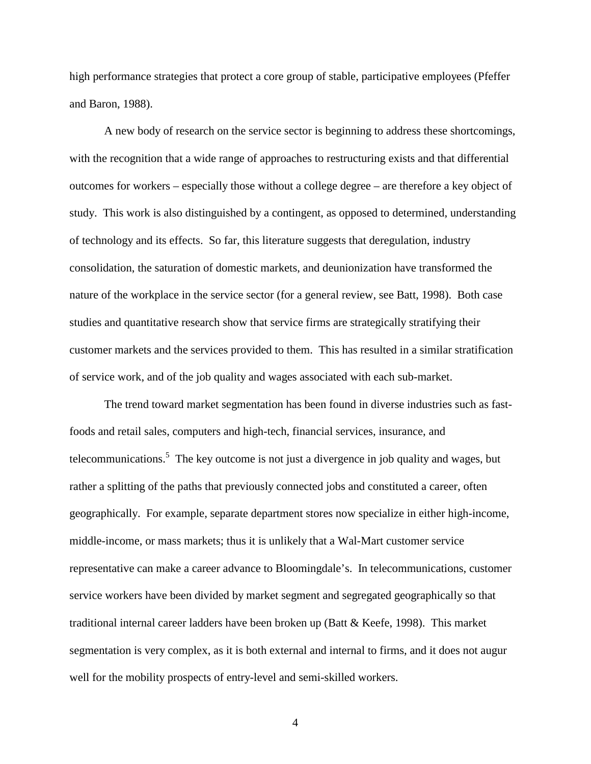high performance strategies that protect a core group of stable, participative employees (Pfeffer and Baron, 1988).

A new body of research on the service sector is beginning to address these shortcomings, with the recognition that a wide range of approaches to restructuring exists and that differential outcomes for workers – especially those without a college degree – are therefore a key object of study. This work is also distinguished by a contingent, as opposed to determined, understanding of technology and its effects. So far, this literature suggests that deregulation, industry consolidation, the saturation of domestic markets, and deunionization have transformed the nature of the workplace in the service sector (for a general review, see Batt, 1998). Both case studies and quantitative research show that service firms are strategically stratifying their customer markets and the services provided to them. This has resulted in a similar stratification of service work, and of the job quality and wages associated with each sub-market.

The trend toward market segmentation has been found in diverse industries such as fastfoods and retail sales, computers and high-tech, financial services, insurance, and telecommunications.<sup>5</sup> The key outcome is not just a divergence in job quality and wages, but rather a splitting of the paths that previously connected jobs and constituted a career, often geographically. For example, separate department stores now specialize in either high-income, middle-income, or mass markets; thus it is unlikely that a Wal-Mart customer service representative can make a career advance to Bloomingdale's. In telecommunications, customer service workers have been divided by market segment and segregated geographically so that traditional internal career ladders have been broken up (Batt & Keefe, 1998). This market segmentation is very complex, as it is both external and internal to firms, and it does not augur well for the mobility prospects of entry-level and semi-skilled workers.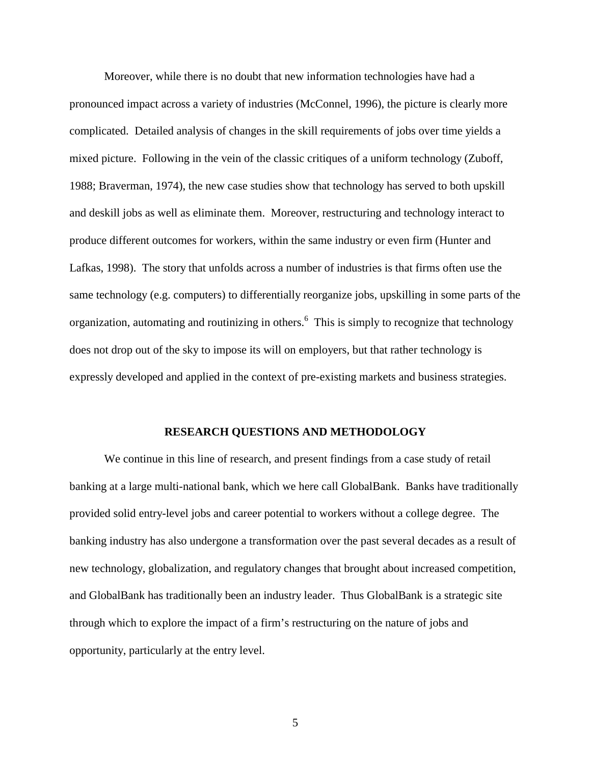Moreover, while there is no doubt that new information technologies have had a pronounced impact across a variety of industries (McConnel, 1996), the picture is clearly more complicated. Detailed analysis of changes in the skill requirements of jobs over time yields a mixed picture. Following in the vein of the classic critiques of a uniform technology (Zuboff, 1988; Braverman, 1974), the new case studies show that technology has served to both upskill and deskill jobs as well as eliminate them. Moreover, restructuring and technology interact to produce different outcomes for workers, within the same industry or even firm (Hunter and Lafkas, 1998). The story that unfolds across a number of industries is that firms often use the same technology (e.g. computers) to differentially reorganize jobs, upskilling in some parts of the organization, automating and routinizing in others.<sup>6</sup> This is simply to recognize that technology does not drop out of the sky to impose its will on employers, but that rather technology is expressly developed and applied in the context of pre-existing markets and business strategies.

#### **RESEARCH QUESTIONS AND METHODOLOGY**

We continue in this line of research, and present findings from a case study of retail banking at a large multi-national bank, which we here call GlobalBank. Banks have traditionally provided solid entry-level jobs and career potential to workers without a college degree. The banking industry has also undergone a transformation over the past several decades as a result of new technology, globalization, and regulatory changes that brought about increased competition, and GlobalBank has traditionally been an industry leader. Thus GlobalBank is a strategic site through which to explore the impact of a firm's restructuring on the nature of jobs and opportunity, particularly at the entry level.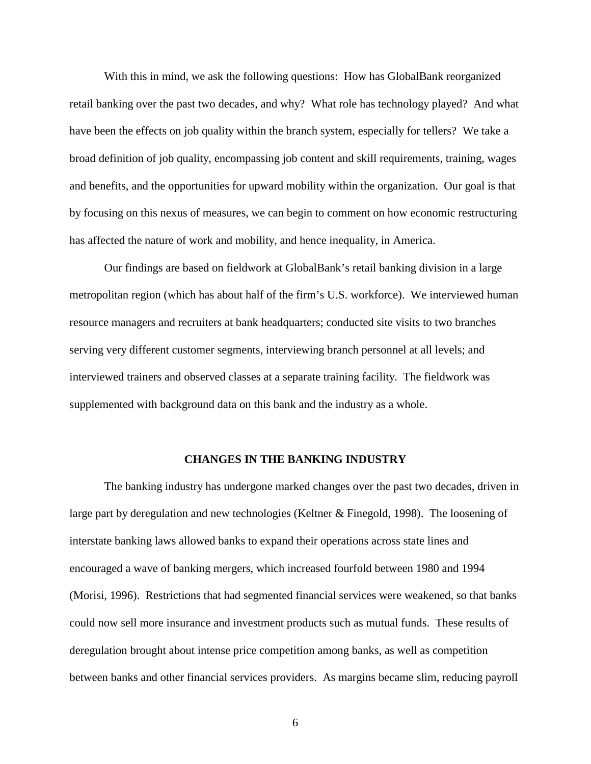With this in mind, we ask the following questions: How has GlobalBank reorganized retail banking over the past two decades, and why? What role has technology played? And what have been the effects on job quality within the branch system, especially for tellers? We take a broad definition of job quality, encompassing job content and skill requirements, training, wages and benefits, and the opportunities for upward mobility within the organization. Our goal is that by focusing on this nexus of measures, we can begin to comment on how economic restructuring has affected the nature of work and mobility, and hence inequality, in America.

Our findings are based on fieldwork at GlobalBank's retail banking division in a large metropolitan region (which has about half of the firm's U.S. workforce). We interviewed human resource managers and recruiters at bank headquarters; conducted site visits to two branches serving very different customer segments, interviewing branch personnel at all levels; and interviewed trainers and observed classes at a separate training facility. The fieldwork was supplemented with background data on this bank and the industry as a whole.

### **CHANGES IN THE BANKING INDUSTRY**

The banking industry has undergone marked changes over the past two decades, driven in large part by deregulation and new technologies (Keltner & Finegold, 1998). The loosening of interstate banking laws allowed banks to expand their operations across state lines and encouraged a wave of banking mergers, which increased fourfold between 1980 and 1994 (Morisi, 1996). Restrictions that had segmented financial services were weakened, so that banks could now sell more insurance and investment products such as mutual funds. These results of deregulation brought about intense price competition among banks, as well as competition between banks and other financial services providers. As margins became slim, reducing payroll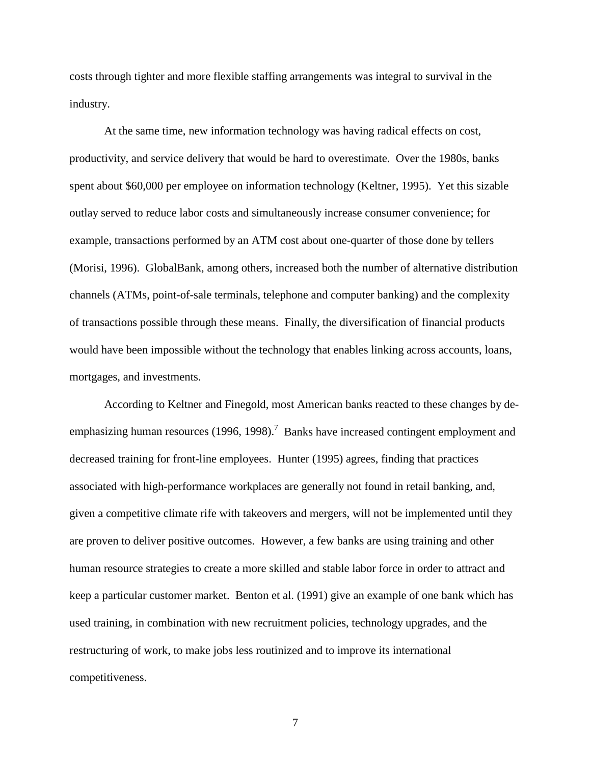costs through tighter and more flexible staffing arrangements was integral to survival in the industry.

At the same time, new information technology was having radical effects on cost, productivity, and service delivery that would be hard to overestimate. Over the 1980s, banks spent about \$60,000 per employee on information technology (Keltner, 1995). Yet this sizable outlay served to reduce labor costs and simultaneously increase consumer convenience; for example, transactions performed by an ATM cost about one-quarter of those done by tellers (Morisi, 1996). GlobalBank, among others, increased both the number of alternative distribution channels (ATMs, point-of-sale terminals, telephone and computer banking) and the complexity of transactions possible through these means. Finally, the diversification of financial products would have been impossible without the technology that enables linking across accounts, loans, mortgages, and investments.

According to Keltner and Finegold, most American banks reacted to these changes by deemphasizing human resources (1996, 1998).<sup>7</sup> Banks have increased contingent employment and decreased training for front-line employees. Hunter (1995) agrees, finding that practices associated with high-performance workplaces are generally not found in retail banking, and, given a competitive climate rife with takeovers and mergers, will not be implemented until they are proven to deliver positive outcomes. However, a few banks are using training and other human resource strategies to create a more skilled and stable labor force in order to attract and keep a particular customer market. Benton et al. (1991) give an example of one bank which has used training, in combination with new recruitment policies, technology upgrades, and the restructuring of work, to make jobs less routinized and to improve its international competitiveness.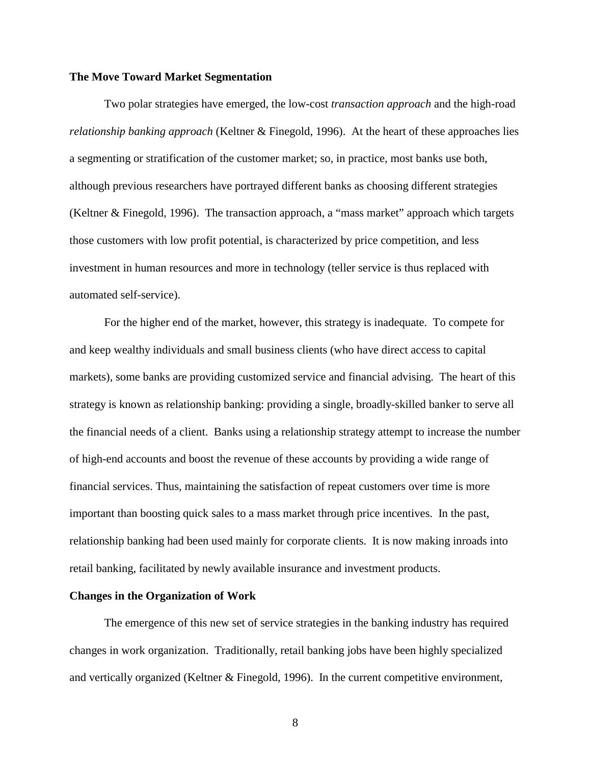### **The Move Toward Market Segmentation**

Two polar strategies have emerged, the low-cost *transaction approach* and the high-road *relationship banking approach* (Keltner & Finegold, 1996). At the heart of these approaches lies a segmenting or stratification of the customer market; so, in practice, most banks use both, although previous researchers have portrayed different banks as choosing different strategies (Keltner & Finegold, 1996). The transaction approach, a "mass market" approach which targets those customers with low profit potential, is characterized by price competition, and less investment in human resources and more in technology (teller service is thus replaced with automated self-service).

For the higher end of the market, however, this strategy is inadequate. To compete for and keep wealthy individuals and small business clients (who have direct access to capital markets), some banks are providing customized service and financial advising. The heart of this strategy is known as relationship banking: providing a single, broadly-skilled banker to serve all the financial needs of a client. Banks using a relationship strategy attempt to increase the number of high-end accounts and boost the revenue of these accounts by providing a wide range of financial services. Thus, maintaining the satisfaction of repeat customers over time is more important than boosting quick sales to a mass market through price incentives. In the past, relationship banking had been used mainly for corporate clients. It is now making inroads into retail banking, facilitated by newly available insurance and investment products.

## **Changes in the Organization of Work**

The emergence of this new set of service strategies in the banking industry has required changes in work organization. Traditionally, retail banking jobs have been highly specialized and vertically organized (Keltner & Finegold, 1996). In the current competitive environment,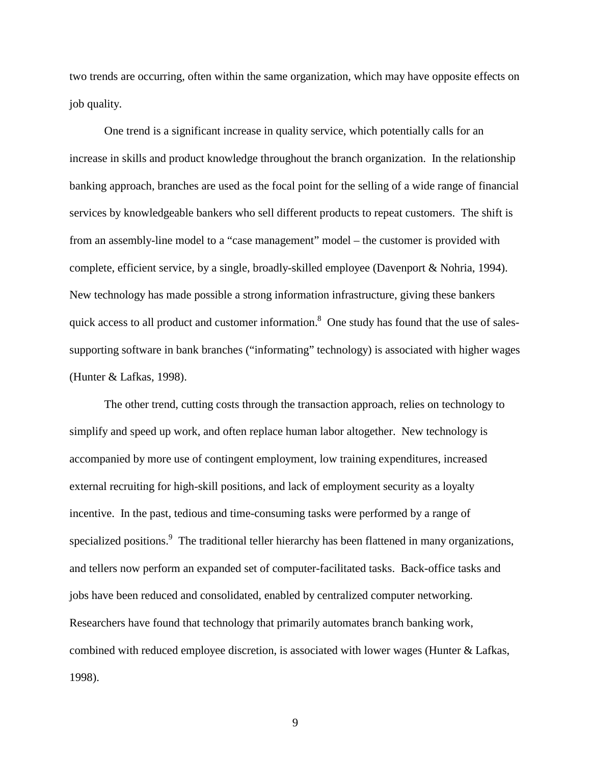two trends are occurring, often within the same organization, which may have opposite effects on job quality.

One trend is a significant increase in quality service, which potentially calls for an increase in skills and product knowledge throughout the branch organization. In the relationship banking approach, branches are used as the focal point for the selling of a wide range of financial services by knowledgeable bankers who sell different products to repeat customers. The shift is from an assembly-line model to a "case management" model – the customer is provided with complete, efficient service, by a single, broadly-skilled employee (Davenport & Nohria, 1994). New technology has made possible a strong information infrastructure, giving these bankers quick access to all product and customer information.<sup>8</sup> One study has found that the use of salessupporting software in bank branches ("informating" technology) is associated with higher wages (Hunter & Lafkas, 1998).

The other trend, cutting costs through the transaction approach, relies on technology to simplify and speed up work, and often replace human labor altogether. New technology is accompanied by more use of contingent employment, low training expenditures, increased external recruiting for high-skill positions, and lack of employment security as a loyalty incentive. In the past, tedious and time-consuming tasks were performed by a range of specialized positions.<sup>9</sup> The traditional teller hierarchy has been flattened in many organizations, and tellers now perform an expanded set of computer-facilitated tasks. Back-office tasks and jobs have been reduced and consolidated, enabled by centralized computer networking. Researchers have found that technology that primarily automates branch banking work, combined with reduced employee discretion, is associated with lower wages (Hunter & Lafkas, 1998).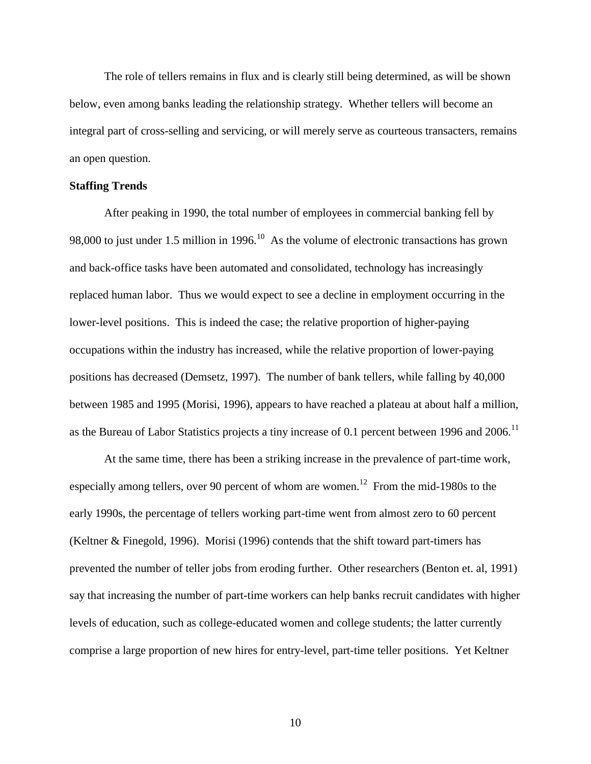The role of tellers remains in flux and is clearly still being determined, as will be shown below, even among banks leading the relationship strategy. Whether tellers will become an integral part of cross-selling and servicing, or will merely serve as courteous transacters, remains an open question.

### **Staffing Trends**

After peaking in 1990, the total number of employees in commercial banking fell by 98,000 to just under 1.5 million in 1996.<sup>10</sup> As the volume of electronic transactions has grown and back-office tasks have been automated and consolidated, technology has increasingly replaced human labor. Thus we would expect to see a decline in employment occurring in the lower-level positions. This is indeed the case; the relative proportion of higher-paying occupations within the industry has increased, while the relative proportion of lower-paying positions has decreased (Demsetz, 1997). The number of bank tellers, while falling by 40,000 between 1985 and 1995 (Morisi, 1996), appears to have reached a plateau at about half a million, as the Bureau of Labor Statistics projects a tiny increase of 0.1 percent between 1996 and 2006.<sup>11</sup>

At the same time, there has been a striking increase in the prevalence of part-time work, especially among tellers, over 90 percent of whom are women.<sup>12</sup> From the mid-1980s to the early 1990s, the percentage of tellers working part-time went from almost zero to 60 percent (Keltner & Finegold, 1996). Morisi (1996) contends that the shift toward part-timers has prevented the number of teller jobs from eroding further. Other researchers (Benton et. al, 1991) say that increasing the number of part-time workers can help banks recruit candidates with higher levels of education, such as college-educated women and college students; the latter currently comprise a large proportion of new hires for entry-level, part-time teller positions. Yet Keltner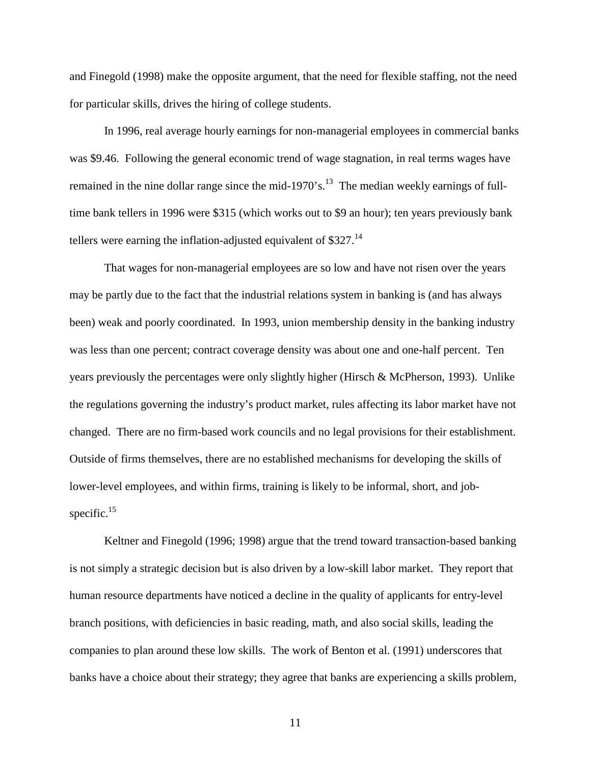and Finegold (1998) make the opposite argument, that the need for flexible staffing, not the need for particular skills, drives the hiring of college students.

In 1996, real average hourly earnings for non-managerial employees in commercial banks was \$9.46. Following the general economic trend of wage stagnation, in real terms wages have remained in the nine dollar range since the mid-1970's.<sup>13</sup> The median weekly earnings of fulltime bank tellers in 1996 were \$315 (which works out to \$9 an hour); ten years previously bank tellers were earning the inflation-adjusted equivalent of \$327.<sup>14</sup>

That wages for non-managerial employees are so low and have not risen over the years may be partly due to the fact that the industrial relations system in banking is (and has always been) weak and poorly coordinated. In 1993, union membership density in the banking industry was less than one percent; contract coverage density was about one and one-half percent. Ten years previously the percentages were only slightly higher (Hirsch & McPherson, 1993). Unlike the regulations governing the industry's product market, rules affecting its labor market have not changed. There are no firm-based work councils and no legal provisions for their establishment. Outside of firms themselves, there are no established mechanisms for developing the skills of lower-level employees, and within firms, training is likely to be informal, short, and jobspecific. $15$ 

Keltner and Finegold (1996; 1998) argue that the trend toward transaction-based banking is not simply a strategic decision but is also driven by a low-skill labor market. They report that human resource departments have noticed a decline in the quality of applicants for entry-level branch positions, with deficiencies in basic reading, math, and also social skills, leading the companies to plan around these low skills. The work of Benton et al. (1991) underscores that banks have a choice about their strategy; they agree that banks are experiencing a skills problem,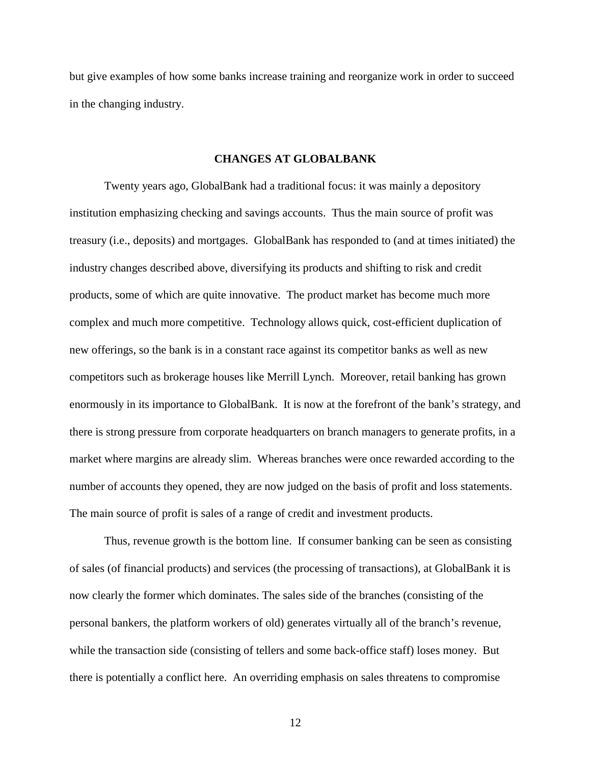but give examples of how some banks increase training and reorganize work in order to succeed in the changing industry.

## **CHANGES AT GLOBALBANK**

Twenty years ago, GlobalBank had a traditional focus: it was mainly a depository institution emphasizing checking and savings accounts. Thus the main source of profit was treasury (i.e., deposits) and mortgages. GlobalBank has responded to (and at times initiated) the industry changes described above, diversifying its products and shifting to risk and credit products, some of which are quite innovative. The product market has become much more complex and much more competitive. Technology allows quick, cost-efficient duplication of new offerings, so the bank is in a constant race against its competitor banks as well as new competitors such as brokerage houses like Merrill Lynch. Moreover, retail banking has grown enormously in its importance to GlobalBank. It is now at the forefront of the bank's strategy, and there is strong pressure from corporate headquarters on branch managers to generate profits, in a market where margins are already slim. Whereas branches were once rewarded according to the number of accounts they opened, they are now judged on the basis of profit and loss statements. The main source of profit is sales of a range of credit and investment products.

Thus, revenue growth is the bottom line. If consumer banking can be seen as consisting of sales (of financial products) and services (the processing of transactions), at GlobalBank it is now clearly the former which dominates. The sales side of the branches (consisting of the personal bankers, the platform workers of old) generates virtually all of the branch's revenue, while the transaction side (consisting of tellers and some back-office staff) loses money. But there is potentially a conflict here. An overriding emphasis on sales threatens to compromise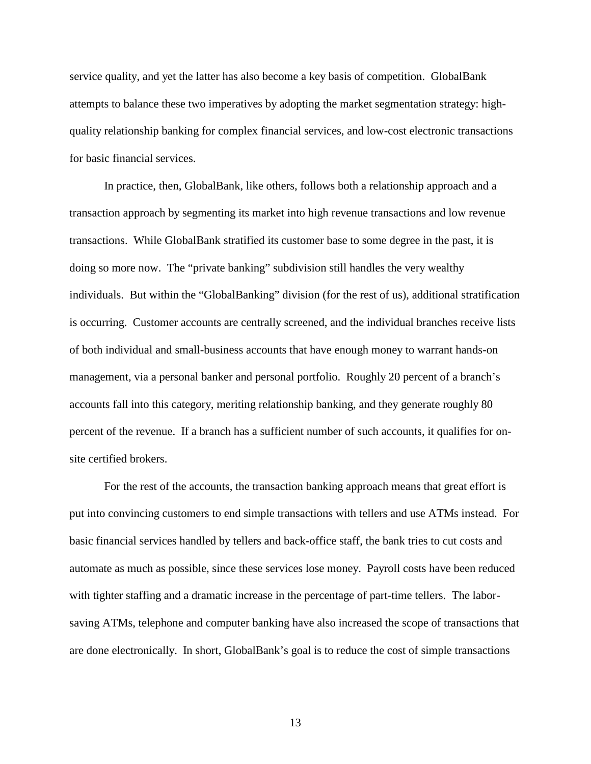service quality, and yet the latter has also become a key basis of competition. GlobalBank attempts to balance these two imperatives by adopting the market segmentation strategy: highquality relationship banking for complex financial services, and low-cost electronic transactions for basic financial services.

In practice, then, GlobalBank, like others, follows both a relationship approach and a transaction approach by segmenting its market into high revenue transactions and low revenue transactions. While GlobalBank stratified its customer base to some degree in the past, it is doing so more now. The "private banking" subdivision still handles the very wealthy individuals. But within the "GlobalBanking" division (for the rest of us), additional stratification is occurring. Customer accounts are centrally screened, and the individual branches receive lists of both individual and small-business accounts that have enough money to warrant hands-on management, via a personal banker and personal portfolio. Roughly 20 percent of a branch's accounts fall into this category, meriting relationship banking, and they generate roughly 80 percent of the revenue. If a branch has a sufficient number of such accounts, it qualifies for onsite certified brokers.

For the rest of the accounts, the transaction banking approach means that great effort is put into convincing customers to end simple transactions with tellers and use ATMs instead. For basic financial services handled by tellers and back-office staff, the bank tries to cut costs and automate as much as possible, since these services lose money. Payroll costs have been reduced with tighter staffing and a dramatic increase in the percentage of part-time tellers. The laborsaving ATMs, telephone and computer banking have also increased the scope of transactions that are done electronically. In short, GlobalBank's goal is to reduce the cost of simple transactions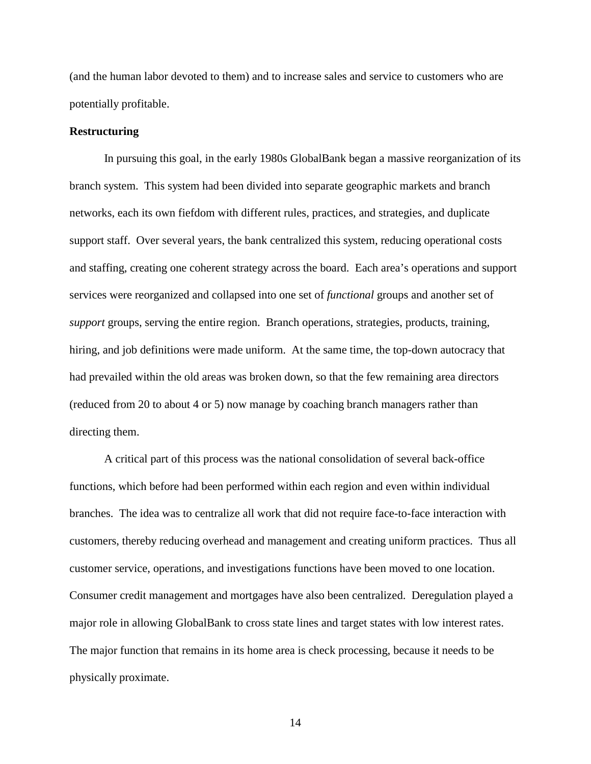(and the human labor devoted to them) and to increase sales and service to customers who are potentially profitable.

### **Restructuring**

In pursuing this goal, in the early 1980s GlobalBank began a massive reorganization of its branch system. This system had been divided into separate geographic markets and branch networks, each its own fiefdom with different rules, practices, and strategies, and duplicate support staff. Over several years, the bank centralized this system, reducing operational costs and staffing, creating one coherent strategy across the board. Each area's operations and support services were reorganized and collapsed into one set of *functional* groups and another set of *support* groups, serving the entire region. Branch operations, strategies, products, training, hiring, and job definitions were made uniform. At the same time, the top-down autocracy that had prevailed within the old areas was broken down, so that the few remaining area directors (reduced from 20 to about 4 or 5) now manage by coaching branch managers rather than directing them.

A critical part of this process was the national consolidation of several back-office functions, which before had been performed within each region and even within individual branches. The idea was to centralize all work that did not require face-to-face interaction with customers, thereby reducing overhead and management and creating uniform practices. Thus all customer service, operations, and investigations functions have been moved to one location. Consumer credit management and mortgages have also been centralized. Deregulation played a major role in allowing GlobalBank to cross state lines and target states with low interest rates. The major function that remains in its home area is check processing, because it needs to be physically proximate.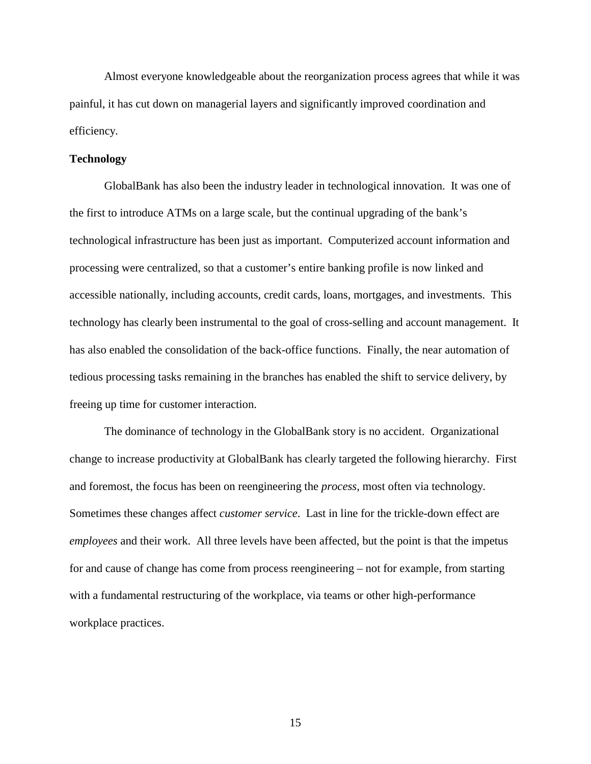Almost everyone knowledgeable about the reorganization process agrees that while it was painful, it has cut down on managerial layers and significantly improved coordination and efficiency.

## **Technology**

GlobalBank has also been the industry leader in technological innovation. It was one of the first to introduce ATMs on a large scale, but the continual upgrading of the bank's technological infrastructure has been just as important. Computerized account information and processing were centralized, so that a customer's entire banking profile is now linked and accessible nationally, including accounts, credit cards, loans, mortgages, and investments. This technology has clearly been instrumental to the goal of cross-selling and account management. It has also enabled the consolidation of the back-office functions. Finally, the near automation of tedious processing tasks remaining in the branches has enabled the shift to service delivery, by freeing up time for customer interaction.

The dominance of technology in the GlobalBank story is no accident. Organizational change to increase productivity at GlobalBank has clearly targeted the following hierarchy. First and foremost, the focus has been on reengineering the *process*, most often via technology. Sometimes these changes affect *customer service*. Last in line for the trickle-down effect are *employees* and their work. All three levels have been affected, but the point is that the impetus for and cause of change has come from process reengineering – not for example, from starting with a fundamental restructuring of the workplace, via teams or other high-performance workplace practices.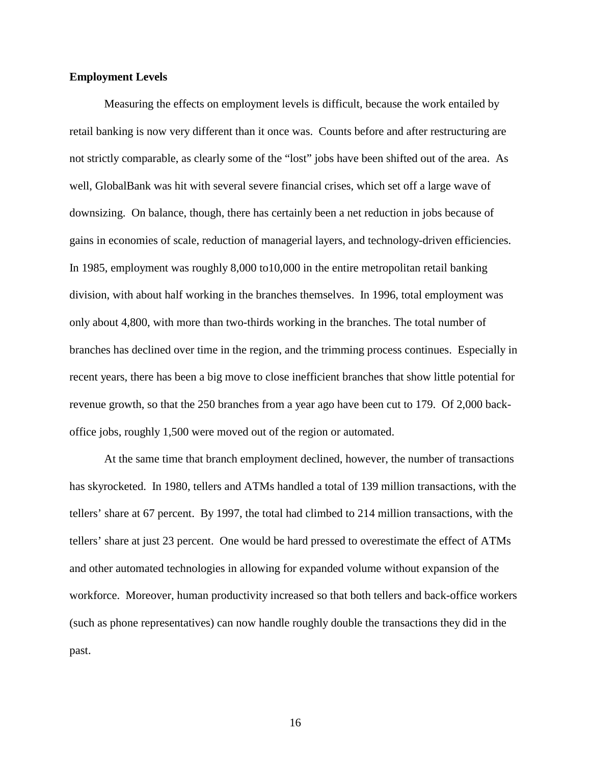### **Employment Levels**

Measuring the effects on employment levels is difficult, because the work entailed by retail banking is now very different than it once was. Counts before and after restructuring are not strictly comparable, as clearly some of the "lost" jobs have been shifted out of the area. As well, GlobalBank was hit with several severe financial crises, which set off a large wave of downsizing. On balance, though, there has certainly been a net reduction in jobs because of gains in economies of scale, reduction of managerial layers, and technology-driven efficiencies. In 1985, employment was roughly 8,000 to10,000 in the entire metropolitan retail banking division, with about half working in the branches themselves. In 1996, total employment was only about 4,800, with more than two-thirds working in the branches. The total number of branches has declined over time in the region, and the trimming process continues. Especially in recent years, there has been a big move to close inefficient branches that show little potential for revenue growth, so that the 250 branches from a year ago have been cut to 179. Of 2,000 backoffice jobs, roughly 1,500 were moved out of the region or automated.

At the same time that branch employment declined, however, the number of transactions has skyrocketed. In 1980, tellers and ATMs handled a total of 139 million transactions, with the tellers' share at 67 percent. By 1997, the total had climbed to 214 million transactions, with the tellers' share at just 23 percent. One would be hard pressed to overestimate the effect of ATMs and other automated technologies in allowing for expanded volume without expansion of the workforce. Moreover, human productivity increased so that both tellers and back-office workers (such as phone representatives) can now handle roughly double the transactions they did in the past.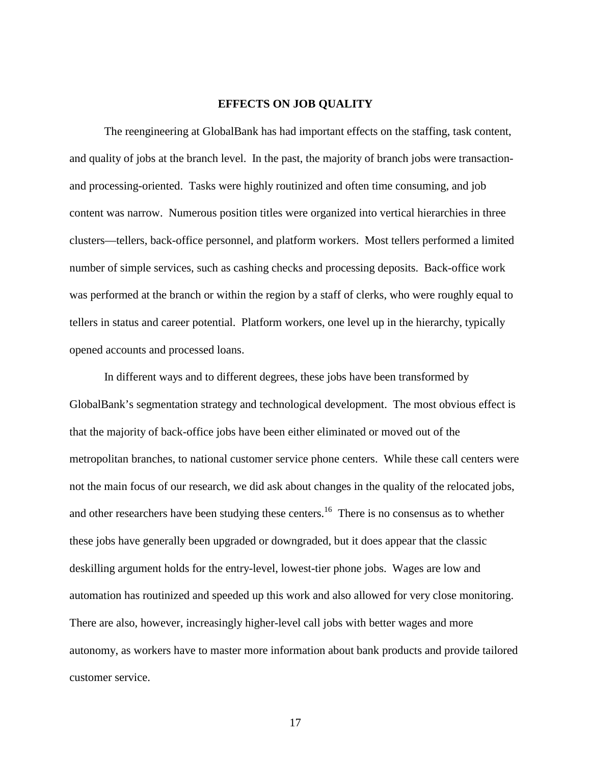#### **EFFECTS ON JOB QUALITY**

The reengineering at GlobalBank has had important effects on the staffing, task content, and quality of jobs at the branch level. In the past, the majority of branch jobs were transactionand processing-oriented. Tasks were highly routinized and often time consuming, and job content was narrow. Numerous position titles were organized into vertical hierarchies in three clusters—tellers, back-office personnel, and platform workers. Most tellers performed a limited number of simple services, such as cashing checks and processing deposits. Back-office work was performed at the branch or within the region by a staff of clerks, who were roughly equal to tellers in status and career potential. Platform workers, one level up in the hierarchy, typically opened accounts and processed loans.

In different ways and to different degrees, these jobs have been transformed by GlobalBank's segmentation strategy and technological development. The most obvious effect is that the majority of back-office jobs have been either eliminated or moved out of the metropolitan branches, to national customer service phone centers. While these call centers were not the main focus of our research, we did ask about changes in the quality of the relocated jobs, and other researchers have been studying these centers.<sup>16</sup> There is no consensus as to whether these jobs have generally been upgraded or downgraded, but it does appear that the classic deskilling argument holds for the entry-level, lowest-tier phone jobs. Wages are low and automation has routinized and speeded up this work and also allowed for very close monitoring. There are also, however, increasingly higher-level call jobs with better wages and more autonomy, as workers have to master more information about bank products and provide tailored customer service.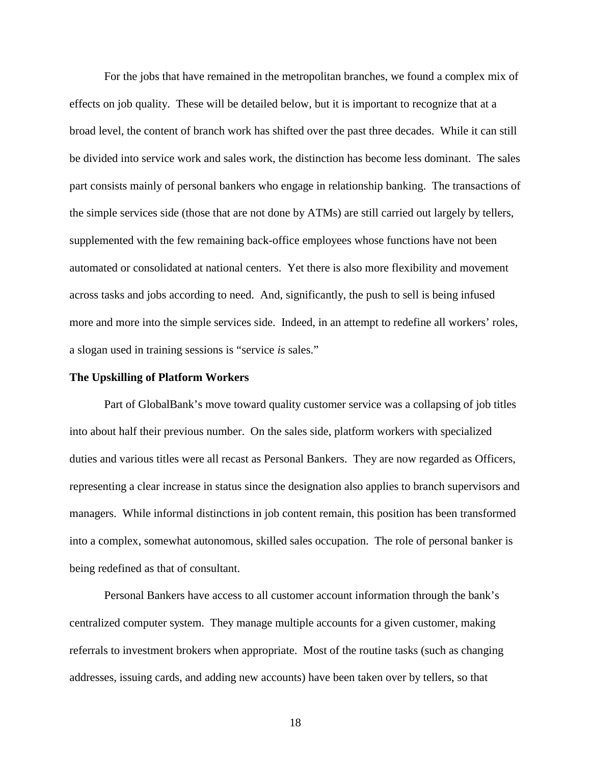For the jobs that have remained in the metropolitan branches, we found a complex mix of effects on job quality. These will be detailed below, but it is important to recognize that at a broad level, the content of branch work has shifted over the past three decades. While it can still be divided into service work and sales work, the distinction has become less dominant. The sales part consists mainly of personal bankers who engage in relationship banking. The transactions of the simple services side (those that are not done by ATMs) are still carried out largely by tellers, supplemented with the few remaining back-office employees whose functions have not been automated or consolidated at national centers. Yet there is also more flexibility and movement across tasks and jobs according to need. And, significantly, the push to sell is being infused more and more into the simple services side. Indeed, in an attempt to redefine all workers' roles, a slogan used in training sessions is "service *is* sales."

### **The Upskilling of Platform Workers**

Part of GlobalBank's move toward quality customer service was a collapsing of job titles into about half their previous number. On the sales side, platform workers with specialized duties and various titles were all recast as Personal Bankers. They are now regarded as Officers, representing a clear increase in status since the designation also applies to branch supervisors and managers. While informal distinctions in job content remain, this position has been transformed into a complex, somewhat autonomous, skilled sales occupation. The role of personal banker is being redefined as that of consultant.

Personal Bankers have access to all customer account information through the bank's centralized computer system. They manage multiple accounts for a given customer, making referrals to investment brokers when appropriate. Most of the routine tasks (such as changing addresses, issuing cards, and adding new accounts) have been taken over by tellers, so that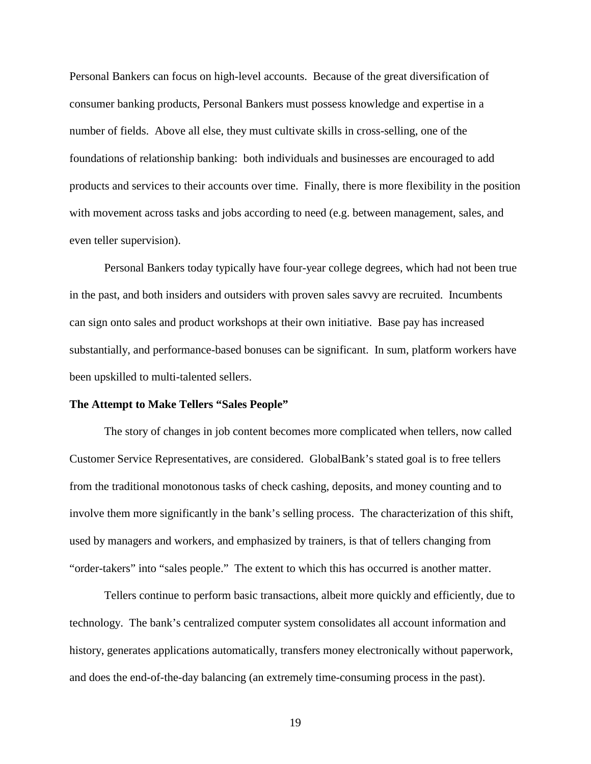Personal Bankers can focus on high-level accounts. Because of the great diversification of consumer banking products, Personal Bankers must possess knowledge and expertise in a number of fields. Above all else, they must cultivate skills in cross-selling, one of the foundations of relationship banking: both individuals and businesses are encouraged to add products and services to their accounts over time. Finally, there is more flexibility in the position with movement across tasks and jobs according to need (e.g. between management, sales, and even teller supervision).

Personal Bankers today typically have four-year college degrees, which had not been true in the past, and both insiders and outsiders with proven sales savvy are recruited. Incumbents can sign onto sales and product workshops at their own initiative. Base pay has increased substantially, and performance-based bonuses can be significant. In sum, platform workers have been upskilled to multi-talented sellers.

#### **The Attempt to Make Tellers "Sales People"**

The story of changes in job content becomes more complicated when tellers, now called Customer Service Representatives, are considered. GlobalBank's stated goal is to free tellers from the traditional monotonous tasks of check cashing, deposits, and money counting and to involve them more significantly in the bank's selling process. The characterization of this shift, used by managers and workers, and emphasized by trainers, is that of tellers changing from "order-takers" into "sales people." The extent to which this has occurred is another matter.

Tellers continue to perform basic transactions, albeit more quickly and efficiently, due to technology. The bank's centralized computer system consolidates all account information and history, generates applications automatically, transfers money electronically without paperwork, and does the end-of-the-day balancing (an extremely time-consuming process in the past).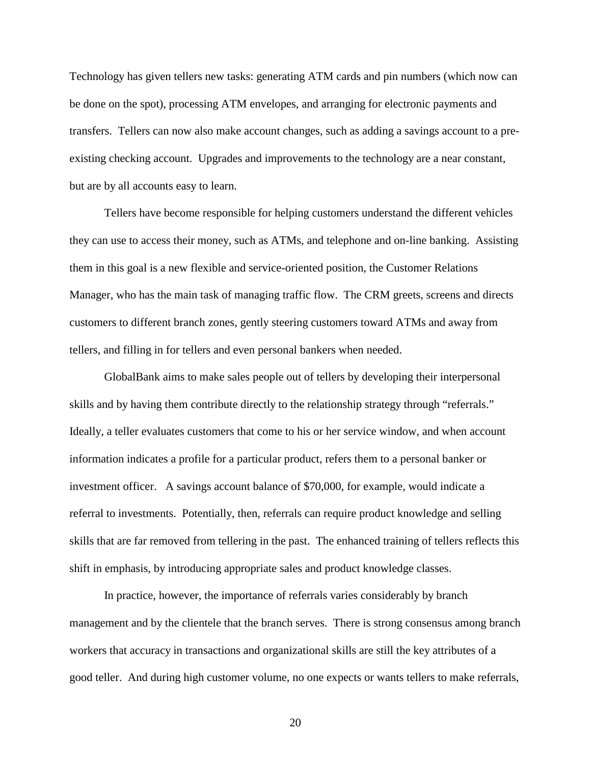Technology has given tellers new tasks: generating ATM cards and pin numbers (which now can be done on the spot), processing ATM envelopes, and arranging for electronic payments and transfers. Tellers can now also make account changes, such as adding a savings account to a preexisting checking account. Upgrades and improvements to the technology are a near constant, but are by all accounts easy to learn.

Tellers have become responsible for helping customers understand the different vehicles they can use to access their money, such as ATMs, and telephone and on-line banking. Assisting them in this goal is a new flexible and service-oriented position, the Customer Relations Manager, who has the main task of managing traffic flow. The CRM greets, screens and directs customers to different branch zones, gently steering customers toward ATMs and away from tellers, and filling in for tellers and even personal bankers when needed.

GlobalBank aims to make sales people out of tellers by developing their interpersonal skills and by having them contribute directly to the relationship strategy through "referrals." Ideally, a teller evaluates customers that come to his or her service window, and when account information indicates a profile for a particular product, refers them to a personal banker or investment officer. A savings account balance of \$70,000, for example, would indicate a referral to investments. Potentially, then, referrals can require product knowledge and selling skills that are far removed from tellering in the past. The enhanced training of tellers reflects this shift in emphasis, by introducing appropriate sales and product knowledge classes.

In practice, however, the importance of referrals varies considerably by branch management and by the clientele that the branch serves. There is strong consensus among branch workers that accuracy in transactions and organizational skills are still the key attributes of a good teller. And during high customer volume, no one expects or wants tellers to make referrals,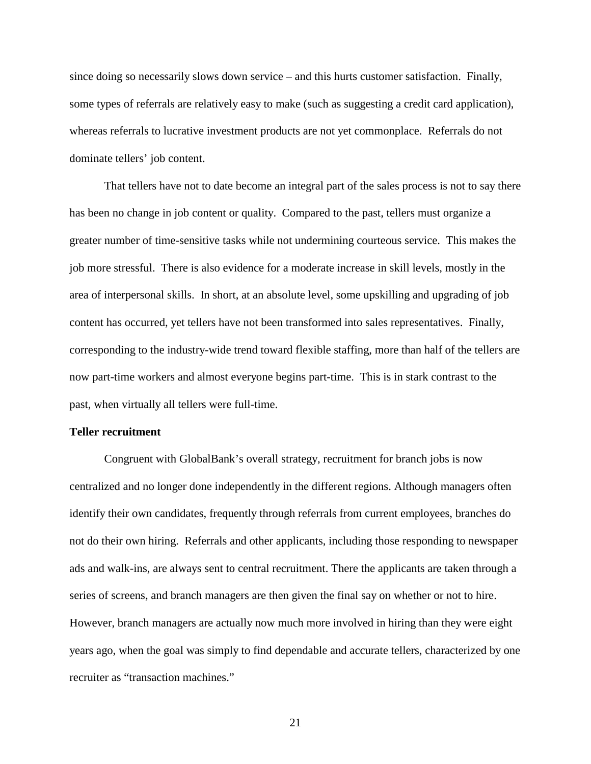since doing so necessarily slows down service – and this hurts customer satisfaction. Finally, some types of referrals are relatively easy to make (such as suggesting a credit card application), whereas referrals to lucrative investment products are not yet commonplace. Referrals do not dominate tellers' job content.

That tellers have not to date become an integral part of the sales process is not to say there has been no change in job content or quality. Compared to the past, tellers must organize a greater number of time-sensitive tasks while not undermining courteous service. This makes the job more stressful. There is also evidence for a moderate increase in skill levels, mostly in the area of interpersonal skills. In short, at an absolute level, some upskilling and upgrading of job content has occurred, yet tellers have not been transformed into sales representatives. Finally, corresponding to the industry-wide trend toward flexible staffing, more than half of the tellers are now part-time workers and almost everyone begins part-time. This is in stark contrast to the past, when virtually all tellers were full-time.

## **Teller recruitment**

Congruent with GlobalBank's overall strategy, recruitment for branch jobs is now centralized and no longer done independently in the different regions. Although managers often identify their own candidates, frequently through referrals from current employees, branches do not do their own hiring. Referrals and other applicants, including those responding to newspaper ads and walk-ins, are always sent to central recruitment. There the applicants are taken through a series of screens, and branch managers are then given the final say on whether or not to hire. However, branch managers are actually now much more involved in hiring than they were eight years ago, when the goal was simply to find dependable and accurate tellers, characterized by one recruiter as "transaction machines."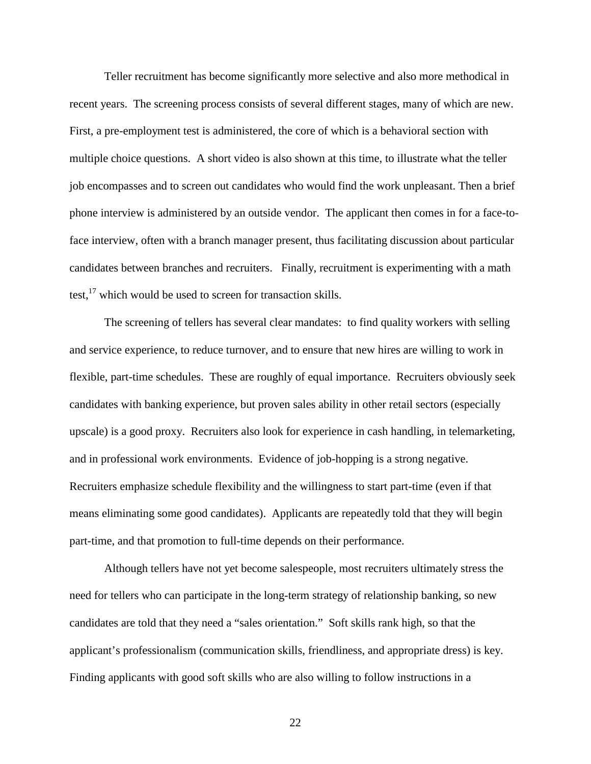Teller recruitment has become significantly more selective and also more methodical in recent years. The screening process consists of several different stages, many of which are new. First, a pre-employment test is administered, the core of which is a behavioral section with multiple choice questions. A short video is also shown at this time, to illustrate what the teller job encompasses and to screen out candidates who would find the work unpleasant. Then a brief phone interview is administered by an outside vendor. The applicant then comes in for a face-toface interview, often with a branch manager present, thus facilitating discussion about particular candidates between branches and recruiters. Finally, recruitment is experimenting with a math test, $17$  which would be used to screen for transaction skills.

The screening of tellers has several clear mandates: to find quality workers with selling and service experience, to reduce turnover, and to ensure that new hires are willing to work in flexible, part-time schedules. These are roughly of equal importance. Recruiters obviously seek candidates with banking experience, but proven sales ability in other retail sectors (especially upscale) is a good proxy. Recruiters also look for experience in cash handling, in telemarketing, and in professional work environments. Evidence of job-hopping is a strong negative. Recruiters emphasize schedule flexibility and the willingness to start part-time (even if that means eliminating some good candidates). Applicants are repeatedly told that they will begin part-time, and that promotion to full-time depends on their performance.

Although tellers have not yet become salespeople, most recruiters ultimately stress the need for tellers who can participate in the long-term strategy of relationship banking, so new candidates are told that they need a "sales orientation." Soft skills rank high, so that the applicant's professionalism (communication skills, friendliness, and appropriate dress) is key. Finding applicants with good soft skills who are also willing to follow instructions in a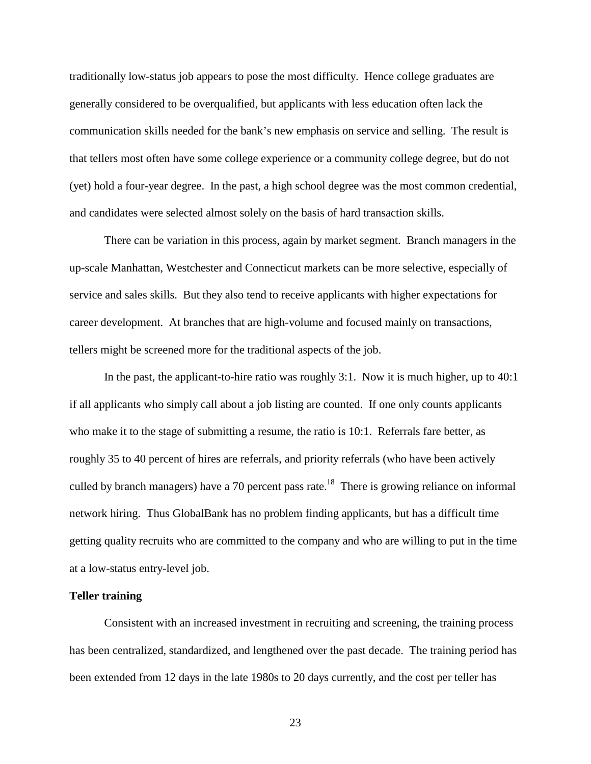traditionally low-status job appears to pose the most difficulty. Hence college graduates are generally considered to be overqualified, but applicants with less education often lack the communication skills needed for the bank's new emphasis on service and selling. The result is that tellers most often have some college experience or a community college degree, but do not (yet) hold a four-year degree. In the past, a high school degree was the most common credential, and candidates were selected almost solely on the basis of hard transaction skills.

There can be variation in this process, again by market segment. Branch managers in the up-scale Manhattan, Westchester and Connecticut markets can be more selective, especially of service and sales skills. But they also tend to receive applicants with higher expectations for career development. At branches that are high-volume and focused mainly on transactions, tellers might be screened more for the traditional aspects of the job.

In the past, the applicant-to-hire ratio was roughly 3:1. Now it is much higher, up to 40:1 if all applicants who simply call about a job listing are counted. If one only counts applicants who make it to the stage of submitting a resume, the ratio is 10:1. Referrals fare better, as roughly 35 to 40 percent of hires are referrals, and priority referrals (who have been actively culled by branch managers) have a 70 percent pass rate.<sup>18</sup> There is growing reliance on informal network hiring. Thus GlobalBank has no problem finding applicants, but has a difficult time getting quality recruits who are committed to the company and who are willing to put in the time at a low-status entry-level job.

## **Teller training**

Consistent with an increased investment in recruiting and screening, the training process has been centralized, standardized, and lengthened over the past decade. The training period has been extended from 12 days in the late 1980s to 20 days currently, and the cost per teller has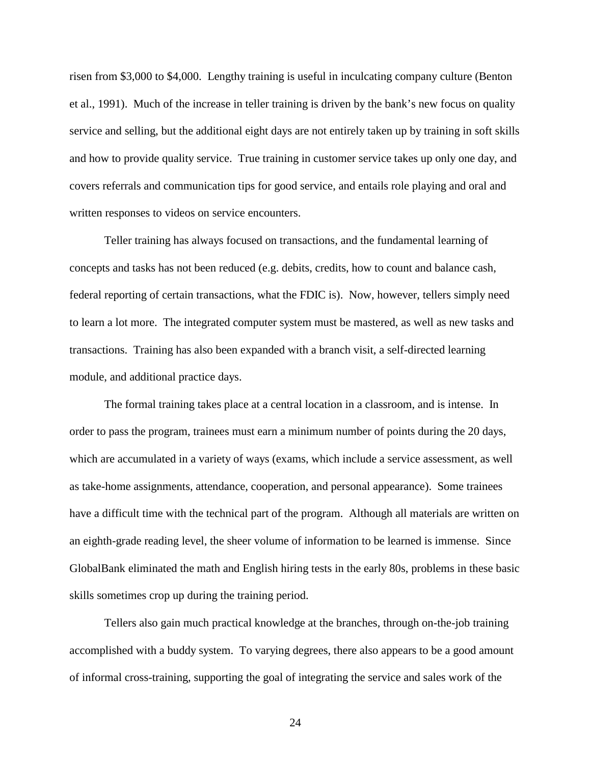risen from \$3,000 to \$4,000. Lengthy training is useful in inculcating company culture (Benton et al., 1991). Much of the increase in teller training is driven by the bank's new focus on quality service and selling, but the additional eight days are not entirely taken up by training in soft skills and how to provide quality service. True training in customer service takes up only one day, and covers referrals and communication tips for good service, and entails role playing and oral and written responses to videos on service encounters.

Teller training has always focused on transactions, and the fundamental learning of concepts and tasks has not been reduced (e.g. debits, credits, how to count and balance cash, federal reporting of certain transactions, what the FDIC is). Now, however, tellers simply need to learn a lot more. The integrated computer system must be mastered, as well as new tasks and transactions. Training has also been expanded with a branch visit, a self-directed learning module, and additional practice days.

The formal training takes place at a central location in a classroom, and is intense. In order to pass the program, trainees must earn a minimum number of points during the 20 days, which are accumulated in a variety of ways (exams, which include a service assessment, as well as take-home assignments, attendance, cooperation, and personal appearance). Some trainees have a difficult time with the technical part of the program. Although all materials are written on an eighth-grade reading level, the sheer volume of information to be learned is immense. Since GlobalBank eliminated the math and English hiring tests in the early 80s, problems in these basic skills sometimes crop up during the training period.

Tellers also gain much practical knowledge at the branches, through on-the-job training accomplished with a buddy system. To varying degrees, there also appears to be a good amount of informal cross-training, supporting the goal of integrating the service and sales work of the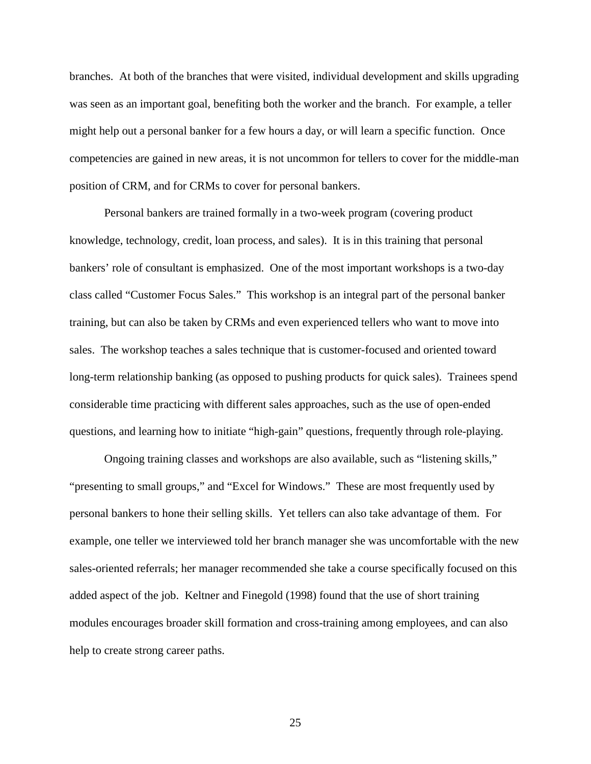branches. At both of the branches that were visited, individual development and skills upgrading was seen as an important goal, benefiting both the worker and the branch. For example, a teller might help out a personal banker for a few hours a day, or will learn a specific function. Once competencies are gained in new areas, it is not uncommon for tellers to cover for the middle-man position of CRM, and for CRMs to cover for personal bankers.

Personal bankers are trained formally in a two-week program (covering product knowledge, technology, credit, loan process, and sales). It is in this training that personal bankers' role of consultant is emphasized. One of the most important workshops is a two-day class called "Customer Focus Sales." This workshop is an integral part of the personal banker training, but can also be taken by CRMs and even experienced tellers who want to move into sales. The workshop teaches a sales technique that is customer-focused and oriented toward long-term relationship banking (as opposed to pushing products for quick sales). Trainees spend considerable time practicing with different sales approaches, such as the use of open-ended questions, and learning how to initiate "high-gain" questions, frequently through role-playing.

Ongoing training classes and workshops are also available, such as "listening skills," "presenting to small groups," and "Excel for Windows." These are most frequently used by personal bankers to hone their selling skills. Yet tellers can also take advantage of them. For example, one teller we interviewed told her branch manager she was uncomfortable with the new sales-oriented referrals; her manager recommended she take a course specifically focused on this added aspect of the job. Keltner and Finegold (1998) found that the use of short training modules encourages broader skill formation and cross-training among employees, and can also help to create strong career paths.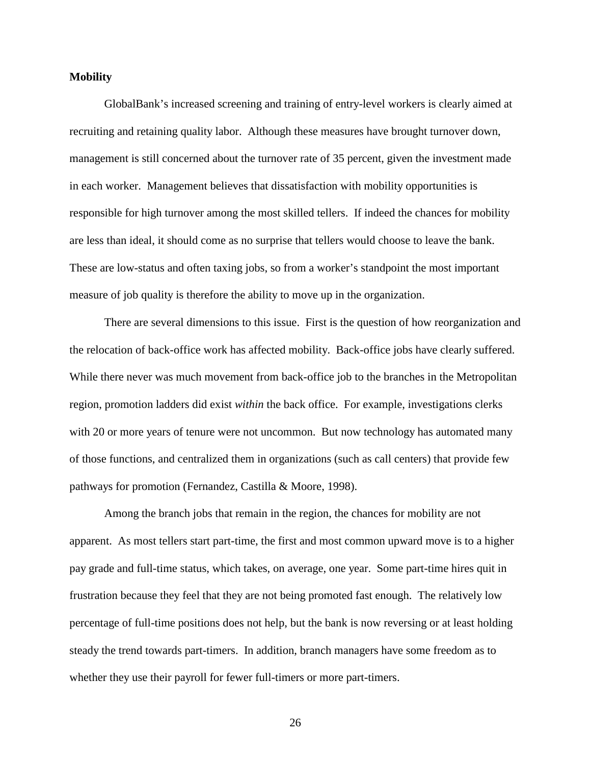### **Mobility**

GlobalBank's increased screening and training of entry-level workers is clearly aimed at recruiting and retaining quality labor. Although these measures have brought turnover down, management is still concerned about the turnover rate of 35 percent, given the investment made in each worker. Management believes that dissatisfaction with mobility opportunities is responsible for high turnover among the most skilled tellers. If indeed the chances for mobility are less than ideal, it should come as no surprise that tellers would choose to leave the bank. These are low-status and often taxing jobs, so from a worker's standpoint the most important measure of job quality is therefore the ability to move up in the organization.

There are several dimensions to this issue. First is the question of how reorganization and the relocation of back-office work has affected mobility. Back-office jobs have clearly suffered. While there never was much movement from back-office job to the branches in the Metropolitan region, promotion ladders did exist *within* the back office. For example, investigations clerks with 20 or more years of tenure were not uncommon. But now technology has automated many of those functions, and centralized them in organizations (such as call centers) that provide few pathways for promotion (Fernandez, Castilla & Moore, 1998).

Among the branch jobs that remain in the region, the chances for mobility are not apparent. As most tellers start part-time, the first and most common upward move is to a higher pay grade and full-time status, which takes, on average, one year. Some part-time hires quit in frustration because they feel that they are not being promoted fast enough. The relatively low percentage of full-time positions does not help, but the bank is now reversing or at least holding steady the trend towards part-timers. In addition, branch managers have some freedom as to whether they use their payroll for fewer full-timers or more part-timers.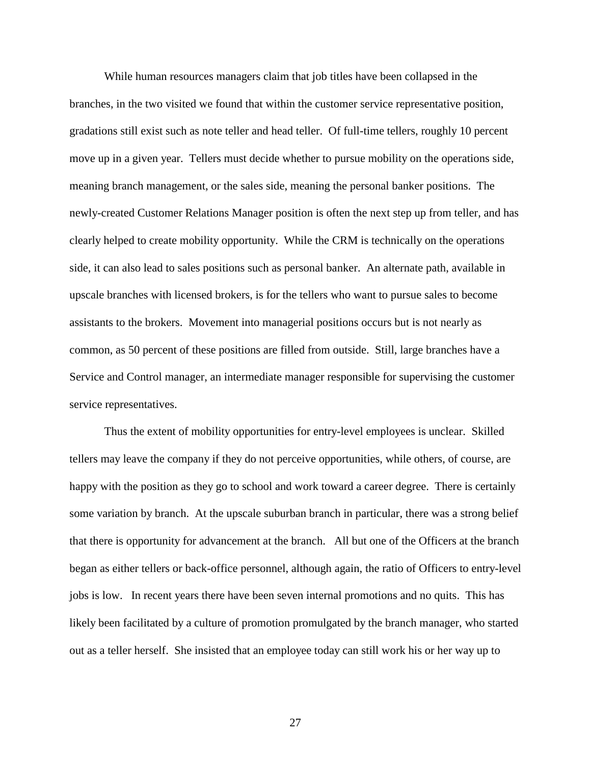While human resources managers claim that job titles have been collapsed in the branches, in the two visited we found that within the customer service representative position, gradations still exist such as note teller and head teller. Of full-time tellers, roughly 10 percent move up in a given year. Tellers must decide whether to pursue mobility on the operations side, meaning branch management, or the sales side, meaning the personal banker positions. The newly-created Customer Relations Manager position is often the next step up from teller, and has clearly helped to create mobility opportunity. While the CRM is technically on the operations side, it can also lead to sales positions such as personal banker. An alternate path, available in upscale branches with licensed brokers, is for the tellers who want to pursue sales to become assistants to the brokers. Movement into managerial positions occurs but is not nearly as common, as 50 percent of these positions are filled from outside. Still, large branches have a Service and Control manager, an intermediate manager responsible for supervising the customer service representatives.

Thus the extent of mobility opportunities for entry-level employees is unclear. Skilled tellers may leave the company if they do not perceive opportunities, while others, of course, are happy with the position as they go to school and work toward a career degree. There is certainly some variation by branch. At the upscale suburban branch in particular, there was a strong belief that there is opportunity for advancement at the branch. All but one of the Officers at the branch began as either tellers or back-office personnel, although again, the ratio of Officers to entry-level jobs is low. In recent years there have been seven internal promotions and no quits. This has likely been facilitated by a culture of promotion promulgated by the branch manager, who started out as a teller herself. She insisted that an employee today can still work his or her way up to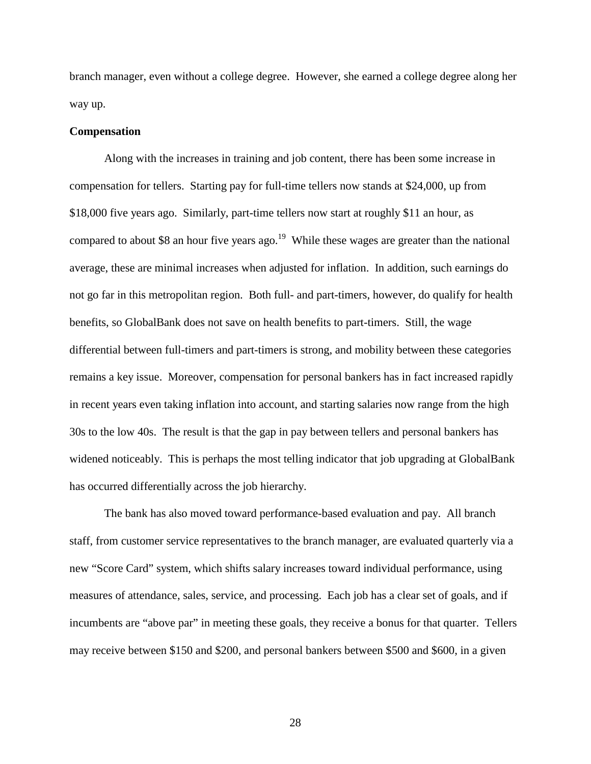branch manager, even without a college degree. However, she earned a college degree along her way up.

### **Compensation**

Along with the increases in training and job content, there has been some increase in compensation for tellers. Starting pay for full-time tellers now stands at \$24,000, up from \$18,000 five years ago. Similarly, part-time tellers now start at roughly \$11 an hour, as compared to about \$8 an hour five years ago.<sup>19</sup> While these wages are greater than the national average, these are minimal increases when adjusted for inflation. In addition, such earnings do not go far in this metropolitan region. Both full- and part-timers, however, do qualify for health benefits, so GlobalBank does not save on health benefits to part-timers. Still, the wage differential between full-timers and part-timers is strong, and mobility between these categories remains a key issue. Moreover, compensation for personal bankers has in fact increased rapidly in recent years even taking inflation into account, and starting salaries now range from the high 30s to the low 40s. The result is that the gap in pay between tellers and personal bankers has widened noticeably. This is perhaps the most telling indicator that job upgrading at GlobalBank has occurred differentially across the job hierarchy.

The bank has also moved toward performance-based evaluation and pay. All branch staff, from customer service representatives to the branch manager, are evaluated quarterly via a new "Score Card" system, which shifts salary increases toward individual performance, using measures of attendance, sales, service, and processing. Each job has a clear set of goals, and if incumbents are "above par" in meeting these goals, they receive a bonus for that quarter. Tellers may receive between \$150 and \$200, and personal bankers between \$500 and \$600, in a given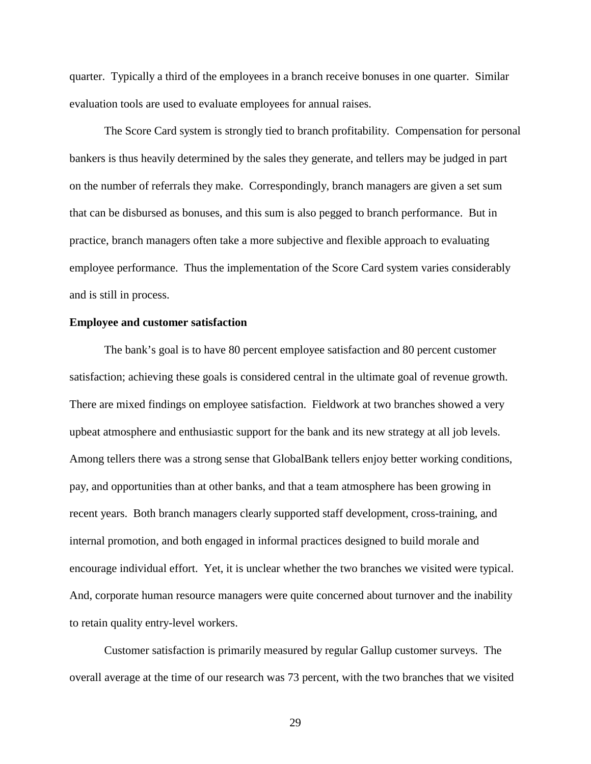quarter. Typically a third of the employees in a branch receive bonuses in one quarter. Similar evaluation tools are used to evaluate employees for annual raises.

The Score Card system is strongly tied to branch profitability. Compensation for personal bankers is thus heavily determined by the sales they generate, and tellers may be judged in part on the number of referrals they make. Correspondingly, branch managers are given a set sum that can be disbursed as bonuses, and this sum is also pegged to branch performance. But in practice, branch managers often take a more subjective and flexible approach to evaluating employee performance. Thus the implementation of the Score Card system varies considerably and is still in process.

#### **Employee and customer satisfaction**

The bank's goal is to have 80 percent employee satisfaction and 80 percent customer satisfaction; achieving these goals is considered central in the ultimate goal of revenue growth. There are mixed findings on employee satisfaction. Fieldwork at two branches showed a very upbeat atmosphere and enthusiastic support for the bank and its new strategy at all job levels. Among tellers there was a strong sense that GlobalBank tellers enjoy better working conditions, pay, and opportunities than at other banks, and that a team atmosphere has been growing in recent years. Both branch managers clearly supported staff development, cross-training, and internal promotion, and both engaged in informal practices designed to build morale and encourage individual effort. Yet, it is unclear whether the two branches we visited were typical. And, corporate human resource managers were quite concerned about turnover and the inability to retain quality entry-level workers.

Customer satisfaction is primarily measured by regular Gallup customer surveys. The overall average at the time of our research was 73 percent, with the two branches that we visited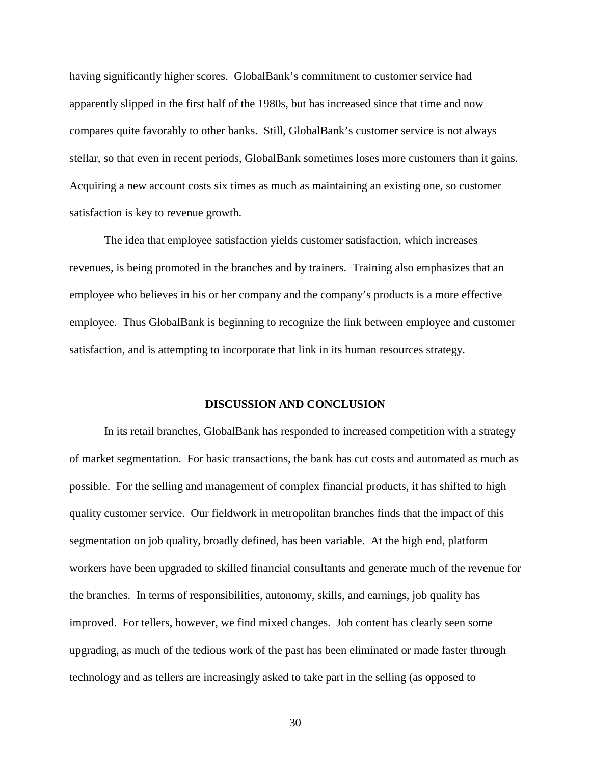having significantly higher scores. GlobalBank's commitment to customer service had apparently slipped in the first half of the 1980s, but has increased since that time and now compares quite favorably to other banks. Still, GlobalBank's customer service is not always stellar, so that even in recent periods, GlobalBank sometimes loses more customers than it gains. Acquiring a new account costs six times as much as maintaining an existing one, so customer satisfaction is key to revenue growth.

The idea that employee satisfaction yields customer satisfaction, which increases revenues, is being promoted in the branches and by trainers. Training also emphasizes that an employee who believes in his or her company and the company's products is a more effective employee. Thus GlobalBank is beginning to recognize the link between employee and customer satisfaction, and is attempting to incorporate that link in its human resources strategy.

## **DISCUSSION AND CONCLUSION**

In its retail branches, GlobalBank has responded to increased competition with a strategy of market segmentation. For basic transactions, the bank has cut costs and automated as much as possible. For the selling and management of complex financial products, it has shifted to high quality customer service. Our fieldwork in metropolitan branches finds that the impact of this segmentation on job quality, broadly defined, has been variable. At the high end, platform workers have been upgraded to skilled financial consultants and generate much of the revenue for the branches. In terms of responsibilities, autonomy, skills, and earnings, job quality has improved. For tellers, however, we find mixed changes. Job content has clearly seen some upgrading, as much of the tedious work of the past has been eliminated or made faster through technology and as tellers are increasingly asked to take part in the selling (as opposed to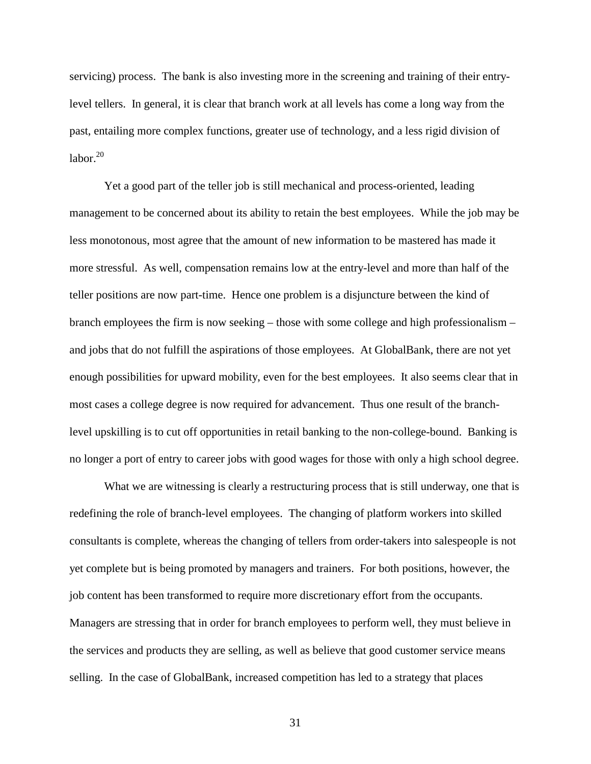servicing) process. The bank is also investing more in the screening and training of their entrylevel tellers. In general, it is clear that branch work at all levels has come a long way from the past, entailing more complex functions, greater use of technology, and a less rigid division of labor. $20$ 

Yet a good part of the teller job is still mechanical and process-oriented, leading management to be concerned about its ability to retain the best employees. While the job may be less monotonous, most agree that the amount of new information to be mastered has made it more stressful. As well, compensation remains low at the entry-level and more than half of the teller positions are now part-time. Hence one problem is a disjuncture between the kind of branch employees the firm is now seeking – those with some college and high professionalism – and jobs that do not fulfill the aspirations of those employees. At GlobalBank, there are not yet enough possibilities for upward mobility, even for the best employees. It also seems clear that in most cases a college degree is now required for advancement. Thus one result of the branchlevel upskilling is to cut off opportunities in retail banking to the non-college-bound. Banking is no longer a port of entry to career jobs with good wages for those with only a high school degree.

What we are witnessing is clearly a restructuring process that is still underway, one that is redefining the role of branch-level employees. The changing of platform workers into skilled consultants is complete, whereas the changing of tellers from order-takers into salespeople is not yet complete but is being promoted by managers and trainers. For both positions, however, the job content has been transformed to require more discretionary effort from the occupants. Managers are stressing that in order for branch employees to perform well, they must believe in the services and products they are selling, as well as believe that good customer service means selling. In the case of GlobalBank, increased competition has led to a strategy that places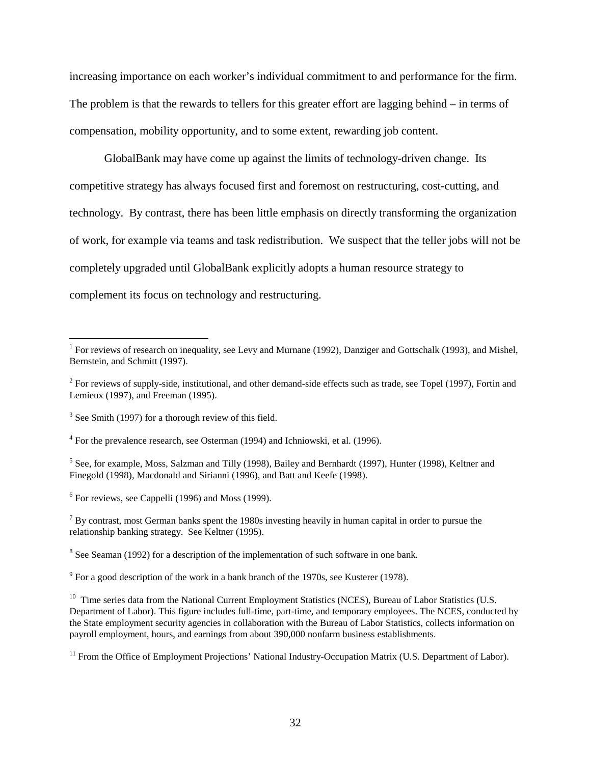increasing importance on each worker's individual commitment to and performance for the firm. The problem is that the rewards to tellers for this greater effort are lagging behind – in terms of compensation, mobility opportunity, and to some extent, rewarding job content.

GlobalBank may have come up against the limits of technology-driven change. Its competitive strategy has always focused first and foremost on restructuring, cost-cutting, and technology. By contrast, there has been little emphasis on directly transforming the organization of work, for example via teams and task redistribution. We suspect that the teller jobs will not be completely upgraded until GlobalBank explicitly adopts a human resource strategy to complement its focus on technology and restructuring.

<sup>&</sup>lt;sup>1</sup> For reviews of research on inequality, see Levy and Murnane (1992), Danziger and Gottschalk (1993), and Mishel, Bernstein, and Schmitt (1997).

 $2^{2}$  For reviews of supply-side, institutional, and other demand-side effects such as trade, see Topel (1997), Fortin and Lemieux (1997), and Freeman (1995).

 $3$  See Smith (1997) for a thorough review of this field.

<sup>&</sup>lt;sup>4</sup> For the prevalence research, see Osterman (1994) and Ichniowski, et al. (1996).

<sup>&</sup>lt;sup>5</sup> See, for example, Moss, Salzman and Tilly (1998), Bailey and Bernhardt (1997), Hunter (1998), Keltner and Finegold (1998), Macdonald and Sirianni (1996), and Batt and Keefe (1998).

<sup>&</sup>lt;sup>6</sup> For reviews, see Cappelli (1996) and Moss (1999).

 $<sup>7</sup>$  By contrast, most German banks spent the 1980s investing heavily in human capital in order to pursue the</sup> relationship banking strategy. See Keltner (1995).

 $8$  See Seaman (1992) for a description of the implementation of such software in one bank.

 $9^9$  For a good description of the work in a bank branch of the 1970s, see Kusterer (1978).

<sup>&</sup>lt;sup>10</sup> Time series data from the National Current Employment Statistics (NCES), Bureau of Labor Statistics (U.S. Department of Labor). This figure includes full-time, part-time, and temporary employees. The NCES, conducted by the State employment security agencies in collaboration with the Bureau of Labor Statistics, collects information on payroll employment, hours, and earnings from about 390,000 nonfarm business establishments.

<sup>&</sup>lt;sup>11</sup> From the Office of Employment Projections' National Industry-Occupation Matrix (U.S. Department of Labor).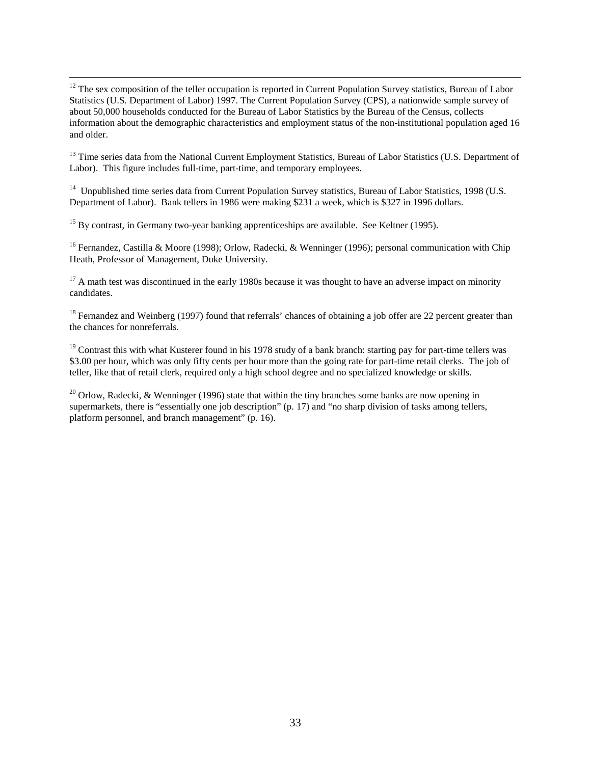$12$  The sex composition of the teller occupation is reported in Current Population Survey statistics, Bureau of Labor Statistics (U.S. Department of Labor) 1997. The Current Population Survey (CPS), a nationwide sample survey of about 50,000 households conducted for the Bureau of Labor Statistics by the Bureau of the Census, collects information about the demographic characteristics and employment status of the non-institutional population aged 16 and older.

<sup>13</sup> Time series data from the National Current Employment Statistics, Bureau of Labor Statistics (U.S. Department of Labor). This figure includes full-time, part-time, and temporary employees.

<sup>14</sup> Unpublished time series data from Current Population Survey statistics, Bureau of Labor Statistics, 1998 (U.S. Department of Labor). Bank tellers in 1986 were making \$231 a week, which is \$327 in 1996 dollars.

<sup>15</sup> By contrast, in Germany two-year banking apprenticeships are available. See Keltner (1995).

<sup>16</sup> Fernandez, Castilla & Moore (1998); Orlow, Radecki, & Wenninger (1996); personal communication with Chip Heath, Professor of Management, Duke University.

 $17$  A math test was discontinued in the early 1980s because it was thought to have an adverse impact on minority candidates.

<sup>18</sup> Fernandez and Weinberg (1997) found that referrals' chances of obtaining a job offer are 22 percent greater than the chances for nonreferrals.

<sup>19</sup> Contrast this with what Kusterer found in his 1978 study of a bank branch: starting pay for part-time tellers was \$3.00 per hour, which was only fifty cents per hour more than the going rate for part-time retail clerks. The job of teller, like that of retail clerk, required only a high school degree and no specialized knowledge or skills.

<sup>20</sup> Orlow, Radecki, & Wenninger (1996) state that within the tiny branches some banks are now opening in supermarkets, there is "essentially one job description" (p. 17) and "no sharp division of tasks among tellers, platform personnel, and branch management" (p. 16).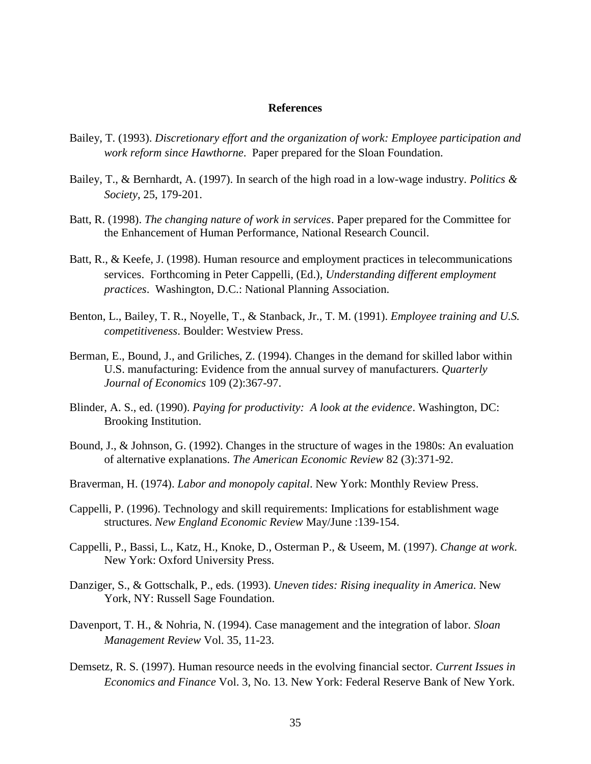#### **References**

- Bailey, T. (1993). *Discretionary effort and the organization of work: Employee participation and work reform since Hawthorne*. Paper prepared for the Sloan Foundation.
- Bailey, T., & Bernhardt, A. (1997). In search of the high road in a low-wage industry. *Politics & Society*, 25, 179-201.
- Batt, R. (1998). *The changing nature of work in services*. Paper prepared for the Committee for the Enhancement of Human Performance, National Research Council.
- Batt, R., & Keefe, J. (1998). Human resource and employment practices in telecommunications services. Forthcoming in Peter Cappelli, (Ed.), *Understanding different employment practices*. Washington, D.C.: National Planning Association.
- Benton, L., Bailey, T. R., Noyelle, T., & Stanback, Jr., T. M. (1991). *Employee training and U.S. competitiveness*. Boulder: Westview Press.
- Berman, E., Bound, J., and Griliches, Z. (1994). Changes in the demand for skilled labor within U.S. manufacturing: Evidence from the annual survey of manufacturers. *Quarterly Journal of Economics* 109 (2):367-97.
- Blinder, A. S., ed. (1990). *Paying for productivity: A look at the evidence*. Washington, DC: Brooking Institution.
- Bound, J., & Johnson, G. (1992). Changes in the structure of wages in the 1980s: An evaluation of alternative explanations. *The American Economic Review* 82 (3):371-92.
- Braverman, H. (1974). *Labor and monopoly capital*. New York: Monthly Review Press.
- Cappelli, P. (1996). Technology and skill requirements: Implications for establishment wage structures. *New England Economic Review* May/June :139-154.
- Cappelli, P., Bassi, L., Katz, H., Knoke, D., Osterman P., & Useem, M. (1997). *Change at work*. New York: Oxford University Press.
- Danziger, S., & Gottschalk, P., eds. (1993). *Uneven tides: Rising inequality in America*. New York, NY: Russell Sage Foundation.
- Davenport, T. H., & Nohria, N. (1994). Case management and the integration of labor. *Sloan Management Review* Vol. 35, 11-23.
- Demsetz, R. S. (1997). Human resource needs in the evolving financial sector. *Current Issues in Economics and Finance* Vol. 3, No. 13. New York: Federal Reserve Bank of New York.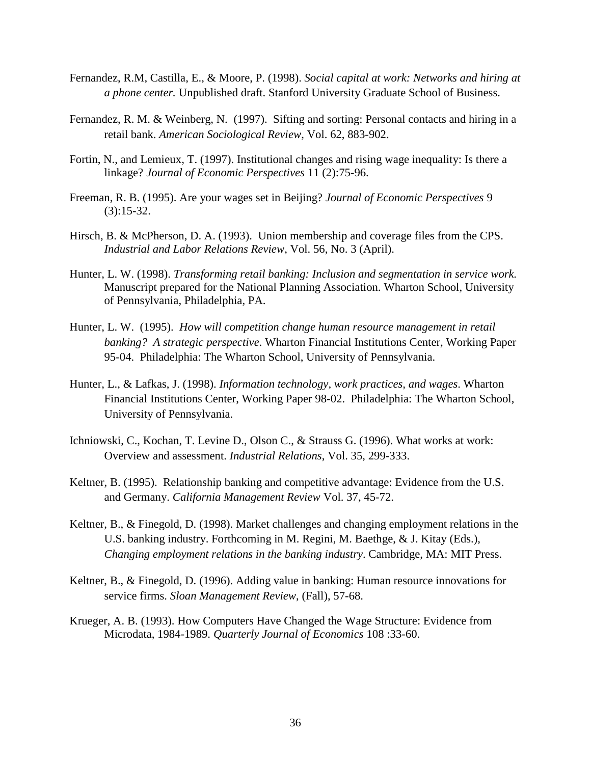- Fernandez, R.M, Castilla, E., & Moore, P. (1998). *Social capital at work: Networks and hiring at a phone center.* Unpublished draft. Stanford University Graduate School of Business.
- Fernandez, R. M. & Weinberg, N. (1997). Sifting and sorting: Personal contacts and hiring in a retail bank. *American Sociological Review*, Vol. 62, 883-902.
- Fortin, N., and Lemieux, T. (1997). Institutional changes and rising wage inequality: Is there a linkage? *Journal of Economic Perspectives* 11 (2):75-96.
- Freeman, R. B. (1995). Are your wages set in Beijing? *Journal of Economic Perspectives* 9 (3):15-32.
- Hirsch, B. & McPherson, D. A. (1993). Union membership and coverage files from the CPS. *Industrial and Labor Relations Review*, Vol. 56, No. 3 (April).
- Hunter, L. W. (1998). *Transforming retail banking: Inclusion and segmentation in service work.* Manuscript prepared for the National Planning Association. Wharton School, University of Pennsylvania, Philadelphia, PA.
- Hunter, L. W. (1995). *How will competition change human resource management in retail banking? A strategic perspective*. Wharton Financial Institutions Center, Working Paper 95-04. Philadelphia: The Wharton School, University of Pennsylvania.
- Hunter, L., & Lafkas, J. (1998). *Information technology, work practices, and wages*. Wharton Financial Institutions Center, Working Paper 98-02. Philadelphia: The Wharton School, University of Pennsylvania.
- Ichniowski, C., Kochan, T. Levine D., Olson C., & Strauss G. (1996). What works at work: Overview and assessment. *Industrial Relations*, Vol. 35, 299-333.
- Keltner, B. (1995). Relationship banking and competitive advantage: Evidence from the U.S. and Germany. *California Management Review* Vol. 37, 45-72.
- Keltner, B., & Finegold, D. (1998). Market challenges and changing employment relations in the U.S. banking industry. Forthcoming in M. Regini, M. Baethge, & J. Kitay (Eds.), *Changing employment relations in the banking industry*. Cambridge, MA: MIT Press.
- Keltner, B., & Finegold, D. (1996). Adding value in banking: Human resource innovations for service firms. *Sloan Management Review*, (Fall), 57-68.
- Krueger, A. B. (1993). How Computers Have Changed the Wage Structure: Evidence from Microdata, 1984-1989. *Quarterly Journal of Economics* 108 :33-60.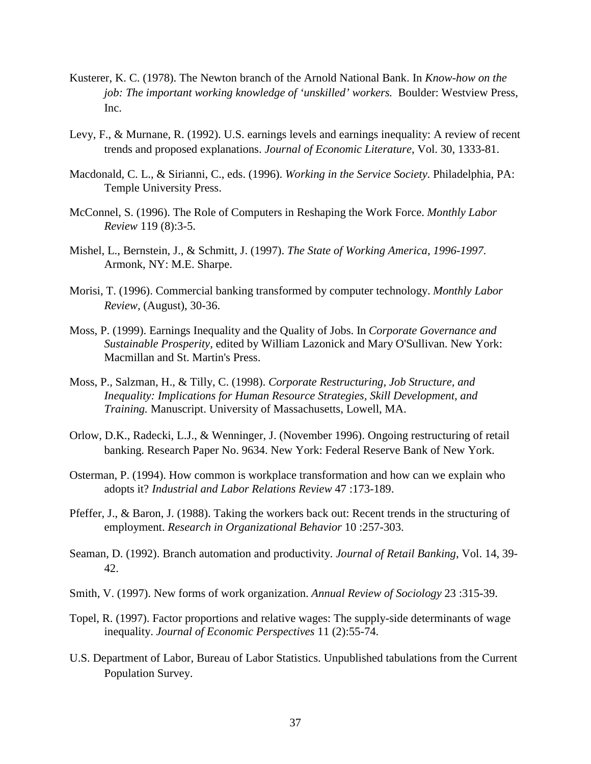- Kusterer, K. C. (1978). The Newton branch of the Arnold National Bank. In *Know-how on the job: The important working knowledge of 'unskilled' workers.* Boulder: Westview Press, Inc.
- Levy, F., & Murnane, R. (1992). U.S. earnings levels and earnings inequality: A review of recent trends and proposed explanations. *Journal of Economic Literature*, Vol. 30, 1333-81.
- Macdonald, C. L., & Sirianni, C., eds. (1996). *Working in the Service Society*. Philadelphia, PA: Temple University Press.
- McConnel, S. (1996). The Role of Computers in Reshaping the Work Force. *Monthly Labor Review* 119 (8):3-5.
- Mishel, L., Bernstein, J., & Schmitt, J. (1997). *The State of Working America, 1996-1997*. Armonk, NY: M.E. Sharpe.
- Morisi, T. (1996). Commercial banking transformed by computer technology. *Monthly Labor Review,* (August), 30-36.
- Moss, P. (1999). Earnings Inequality and the Quality of Jobs. In *Corporate Governance and Sustainable Prosperity*, edited by William Lazonick and Mary O'Sullivan. New York: Macmillan and St. Martin's Press.
- Moss, P., Salzman, H., & Tilly, C. (1998). *Corporate Restructuring, Job Structure, and Inequality: Implications for Human Resource Strategies, Skill Development, and Training.* Manuscript. University of Massachusetts, Lowell, MA.
- Orlow, D.K., Radecki, L.J., & Wenninger, J. (November 1996). Ongoing restructuring of retail banking. Research Paper No. 9634. New York: Federal Reserve Bank of New York.
- Osterman, P. (1994). How common is workplace transformation and how can we explain who adopts it? *Industrial and Labor Relations Review* 47 :173-189.
- Pfeffer, J., & Baron, J. (1988). Taking the workers back out: Recent trends in the structuring of employment. *Research in Organizational Behavior* 10 :257-303.
- Seaman, D. (1992). Branch automation and productivity. *Journal of Retail Banking*, Vol. 14, 39- 42.
- Smith, V. (1997). New forms of work organization. *Annual Review of Sociology* 23 :315-39.
- Topel, R. (1997). Factor proportions and relative wages: The supply-side determinants of wage inequality. *Journal of Economic Perspectives* 11 (2):55-74.
- U.S. Department of Labor, Bureau of Labor Statistics. Unpublished tabulations from the Current Population Survey.